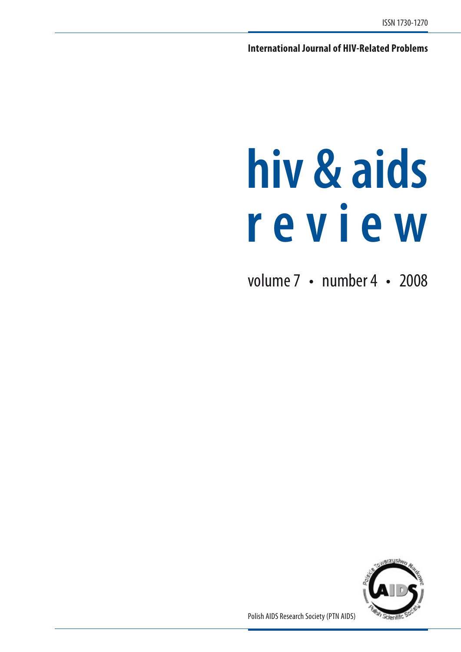**International Journal of HIV-Related Problems**

# **hiv & aids r e v i e w**

volume 7 • number 4 • 2008



Polish AIDS Research Society (PTN AIDS)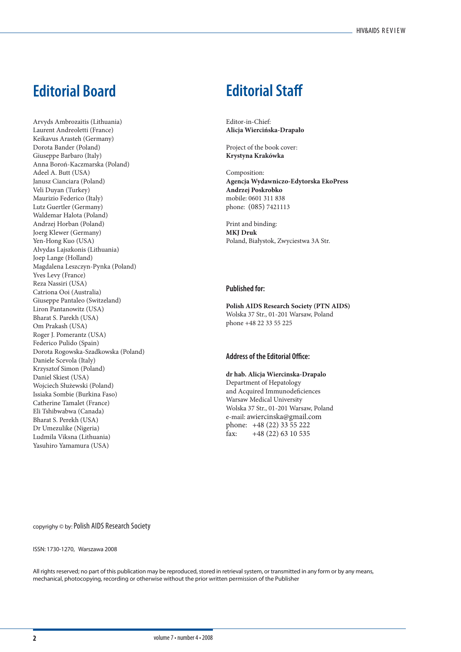### **Editorial Board Editorial Staff**

Arvyds Ambrozaitis (Lithuania) Laurent Andreoletti (France) Keikavus Arasteh (Germany) Dorota Bander (Poland) Giuseppe Barbaro (Italy) Anna Boroń-Kaczmarska (Poland) Adeel A. Butt (USA) Janusz Cianciara (Poland) Veli Duyan (Turkey) Maurizio Federico (Italy) Lutz Guertler (Germany) Waldemar Halota (Poland) Andrzej Horban (Poland) Joerg Klewer (Germany) Yen-Hong Kuo (USA) Alvydas Lajszkonis (Lithuania) Joep Lange (Holland) Magdalena Leszczyn-Pynka (Poland) Yves Levy (France) Reza Nassiri (USA) Catriona Ooi (Australia) Giuseppe Pantaleo (Switzeland) Liron Pantanowitz (USA) Bharat S. Parekh (USA) Om Prakash (USA) Roger J. Pomerantz (USA) Federico Pulido (Spain) Dorota Rogowska-Szadkowska (Poland) Daniele Scevola (Italy) Krzysztof Simon (Poland) Daniel Skiest (USA) Wojciech Służewski (Poland) Issiaka Sombie (Burkina Faso) Catherine Tamalet (France) Eli Tshibwabwa (Canada) Bharat S. Perekh (USA) Dr Umezulike (Nigeria) Ludmila Viksna (Lithuania) Yasuhiro Yamamura (USA)

Editor-in-Chief: **Alicja Wiercińska-Drapało**

Project of the book cover: **Krystyna Krakówka**

Composition: **Agencja Wydawniczo-Edytorska EkoPress Andrzej Poskrobko** mobile: 0601 311 838 phone: (085) 7421113

Print and binding: **MKJ Druk** Poland, Białystok, Zwyciestwa 3A Str.

#### **Published for:**

**Polish AIDS Research Society (PTN AIDS)** Wolska 37 Str., 01-201 Warsaw, Poland phone +48 22 33 55 225

#### **Address of the Editorial Office:**

**dr hab. Alicja Wiercinska-Drapalo** Department of Hepatology and Acquired Immunodeficiences Warsaw Medical University Wolska 37 Str., 01-201 Warsaw, Poland e-mail: awiercinska@gmail.com phone: +48 (22) 33 55 222 fax:  $+48(22)6310535$ 

copyrighy © by: Polish AIDS Research Society

#### ISSN: 1730-1270, Warszawa 2008

All rights reserved; no part of this publication may be reproduced, stored in retrieval system, or transmitted in any form or by any means, mechanical, photocopying, recording or otherwise without the prior written permission of the Publisher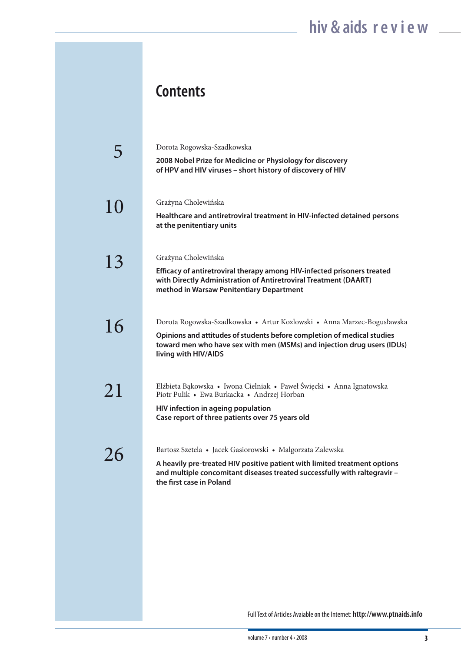### **Contents**

|    | Dorota Rogowska-Szadkowska<br>2008 Nobel Prize for Medicine or Physiology for discovery<br>of HPV and HIV viruses - short history of discovery of HIV                                                                                                |
|----|------------------------------------------------------------------------------------------------------------------------------------------------------------------------------------------------------------------------------------------------------|
| 10 | Grażyna Cholewińska<br>Healthcare and antiretroviral treatment in HIV-infected detained persons<br>at the penitentiary units                                                                                                                         |
| 13 | Grażyna Cholewińska<br>Efficacy of antiretroviral therapy among HIV-infected prisoners treated<br>with Directly Administration of Antiretroviral Treatment (DAART)<br>method in Warsaw Penitentiary Department                                       |
| 16 | Dorota Rogowska-Szadkowska • Artur Kozlowski • Anna Marzec-Bogusławska<br>Opinions and attitudes of students before completion of medical studies<br>toward men who have sex with men (MSMs) and injection drug users (IDUs)<br>living with HIV/AIDS |
| 21 | Elżbieta Bąkowska • Iwona Cielniak • Paweł Święcki • Anna Ignatowska<br>Piotr Pulik · Ewa Burkacka · Andrzej Horban<br>HIV infection in ageing population<br>Case report of three patients over 75 years old                                         |
| 26 | Bartosz Szetela • Jacek Gasiorowski • Malgorzata Zalewska<br>A heavily pre-treated HIV positive patient with limited treatment options<br>and multiple concomitant diseases treated successfully with raltegravir -<br>the first case in Poland      |

Full Text of Articles Avaiable on the Internet: **http://www.ptnaids.info**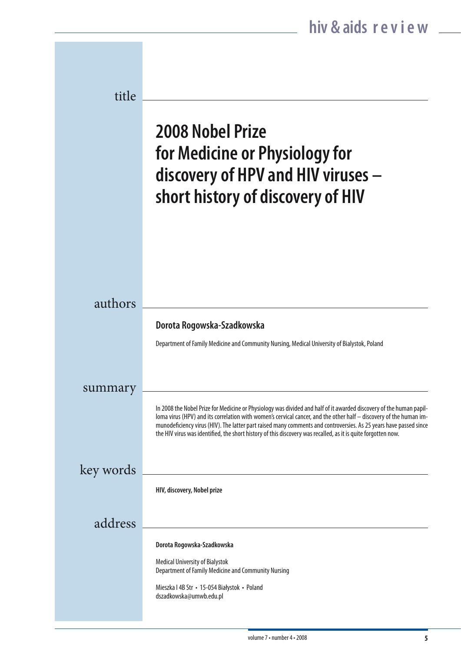| title     |                                                                                                                                                                                                                                                                                                                                                                                                                                                                                 |
|-----------|---------------------------------------------------------------------------------------------------------------------------------------------------------------------------------------------------------------------------------------------------------------------------------------------------------------------------------------------------------------------------------------------------------------------------------------------------------------------------------|
|           | <b>2008 Nobel Prize</b><br>for Medicine or Physiology for<br>discovery of HPV and HIV viruses -<br>short history of discovery of HIV                                                                                                                                                                                                                                                                                                                                            |
|           |                                                                                                                                                                                                                                                                                                                                                                                                                                                                                 |
| authors   | Dorota Rogowska-Szadkowska                                                                                                                                                                                                                                                                                                                                                                                                                                                      |
|           | Department of Family Medicine and Community Nursing, Medical University of Bialystok, Poland                                                                                                                                                                                                                                                                                                                                                                                    |
| summary   |                                                                                                                                                                                                                                                                                                                                                                                                                                                                                 |
|           | In 2008 the Nobel Prize for Medicine or Physiology was divided and half of it awarded discovery of the human papil-<br>loma virus (HPV) and its correlation with women's cervical cancer, and the other half - discovery of the human im-<br>munodeficiency virus (HIV). The latter part raised many comments and controversies. As 25 years have passed since<br>the HIV virus was identified, the short history of this discovery was recalled, as it is quite forgotten now. |
| key words |                                                                                                                                                                                                                                                                                                                                                                                                                                                                                 |
|           | HIV, discovery, Nobel prize                                                                                                                                                                                                                                                                                                                                                                                                                                                     |
| address   |                                                                                                                                                                                                                                                                                                                                                                                                                                                                                 |
|           | Dorota Rogowska-Szadkowska<br><b>Medical University of Bialystok</b>                                                                                                                                                                                                                                                                                                                                                                                                            |
|           | Department of Family Medicine and Community Nursing<br>Mieszka I 4B Str · 15-054 Białystok · Poland<br>dszadkowska@umwb.edu.pl                                                                                                                                                                                                                                                                                                                                                  |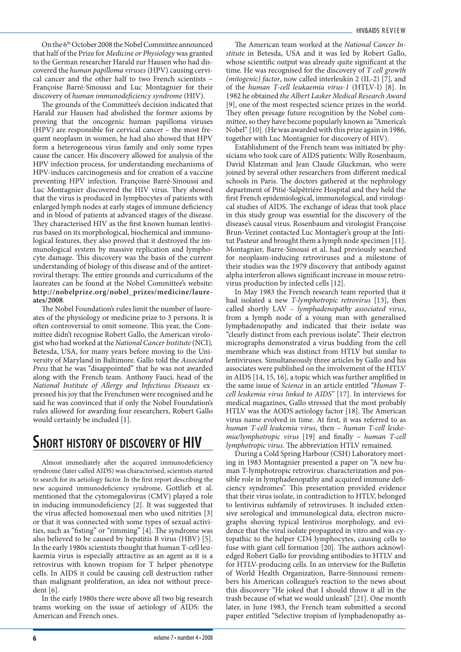On the 6th October 2008 the Nobel Committee announced that half of the Prize for *Medicine or Physiology* was granted to the German researcher Harald zur Hausen who had discovered the *human papilloma viruses* (HPV) causing cervical cancer and the other half to two French scientists – Françoise Barré-Sinoussi and Luc Montagnier for their discovery of *human immunodeficiency syndrome* (HIV).

The grounds of the Committee's decision indicated that Harald zur Hausen had abolished the former axioms by proving that the oncogenic human papilloma viruses (HPV) are responsible for cervical cancer – the most frequent neoplasm in women, he had also showed that HPV form a heterogeneous virus family and only some types cause the cancer. His discovery allowed for analysis of the HPV infection process, for understanding mechanisms of HPV-induces carcinogenesis and for creation of a vaccine preventing HPV infection. Françoise Barré-Sinoussi and Luc Montagnier discovered the HIV virus. They showed that the virus is produced in lymphocytes of patients with enlarged lymph nodes at early stages of immune deficiency and in blood of patients at advanced stages of the disease. They characterised HIV as the first known human lentivirus based on its morphological, biochemical and immunological features, they also proved that it destroyed the immunological system by massive replication and lymphocyte damage. This discovery was the basis of the current understanding of biology of this disease and of the antiretroviral therapy. The entire grounds and curriculums of the laureates can be found at the Nobel Committee's website: **http://nobelprize.org/nobel\_prizes/medicine/laureates/2008**.

The Nobel Foundation's rules limit the number of laureates of the physiology or medicine prize to 3 persons. It is often controversial to omit someone. This year, the Committee didn't recognise Robert Gallo, the American virologist who had worked at the *National Cancer Institute* (NCI)*,* Betesda, USA, for many years before moving to the University of Maryland in Baltimore. Gallo told the *Associated Press* that he was "disappointed" that he was not awarded along with the French team. Anthony Fauci, head of the *National Institute of Allergy and Infectious Diseases* expressed his joy that the Frenchmen were recognised and he said he was convinced that if only the Nobel Foundation's rules allowed for awarding four researchers, Robert Gallo would certainly be included [1].

### **Short history of discovery of HIV**

Almost immediately after the acquired immunodeficiency syndrome (later called AIDS) was characterised, scientists started to search for its aetiology factor. In the first report describing the new acquired immunodeficiency syndrome, Gottlieb et al. mentioned that the cytomegalovirus (CMV) played a role in inducing immunodeficiency [2]. It was suggested that the virus affected homosexual men who used nitrities [3] or that it was connected with some types of sexual activities, such as "fisting" or "rimming" [4]. The syndrome was also believed to be caused by hepatitis B virus (HBV) [5]. In the early 1980s scientists thought that human T-cell leukaemia virus is especially attractive as an agent as it is a retrovirus with known tropism for T helper phenotype cells. In AIDS it could be causing cell destruction rather than malignant proliferation, an idea not without precedent [6]*.*

In the early 1980s there were above all two big research teams working on the issue of aetiology of AIDS: the American and French ones.

The American team worked at the *National Cancer Institute* in Betesda, USA and it was led by Robert Gallo, whose scientific output was already quite significant at the time. He was recognised for the discovery of *T cell growth (mitogenic) factor*, now called interleukin 2 (IL-2) [7], and of the *human T-cell leukaemia virus-1* (HTLV-I) [8]. In 1982 he obtained *the Albert Lasker Medical Research Award* [9], one of the most respected science prizes in the world. They often presage future recognition by the Nobel committee, so they have become popularly known as "America's Nobel" [10]*.* (He was awarded with this prize again in 1986, together with Luc Montagnier for discovery of HIV).

Establishment of the French team was initiated by physicians who took care of AIDS patients: Willy Rosenbaum, David Klatzman and Jean Claude Gluckman, who were joined by several other researchers from different medical schools in Paris. The doctors gathered at the nephrology department of Pitié-Salpêtriére Hospital and they held the first French epidemiological, immunological, and virological studies of AIDS. The exchange of ideas that took place in this study group was essential for the discovery of the disease's causal virus. Rosenbaum and virologist Françoise Brun-Vezinet contacted Luc Montagier's group at the Intitut Pasteur and brought them a lymph node specimen [11]. Montagnier, Barre-Sinousi et al. had previously searched for neoplasm-inducing retroviruses and a milestone of their studies was the 1979 discovery that antibody against alpha interferon allows significant increase in mouse retrovirus production by infected cells [12].

In May 1983 the French research team reported that it had isolated a new *T-lymphotropic retrovirus* [13], then called shortly LAV – *lymphadenopathy associated virus*, from a lymph node of a young man with generalised lymphadenopathy and indicated that their isolate was "clearly distinct from each previous isolate". Their electron micrographs demonstrated a virus budding from the cell membrane which was distinct from HTLV but similar to lentiviruses. Simultaneously three articles by Gallo and his associates were published on the involvement of the HTLV in AIDS [14, 15, 16]*,* a topic which was further amplified in the same issue of *Science* in an article entitled *"Human Tcell leukemia virus linked to AIDS"* [17]. In interviews for medical magazines, Gallo stressed that the most probably HTLV was the AODS aetiology factor [18]. The American virus name evolved in time. At first, it was referred to as *human T-cell leukemia virus*, then – *human T-cell leukemia/lymphotropic virus* [19] and finally – *human T-cell lymphotropic virus*. The abbreviation HTLV remained.

During a Cold Spring Harbour (CSH) Laboratory meeting in 1983 Montagnier presented a paper on "A new human T-lymphotropic retrovirus: characterization and possible role in lymphadenopathy and acquired immune deficiency syndromes". This presentation provided evidence that their virus isolate, in contradiction to HTLV, belonged to lentivirus subfamily of retroviruses. It included extensive serological and immunological data, electron micrographs shoving typical lentivirus morphology, and evidence that the viral isolate propagated in vitro and was cytopathic to the helper CD4 lymphocytes, causing cells to fuse with giant cell formation [20]*.* The authors acknowledged Robert Gallo for providing antibodies to HTLV and for HTLV-producing cells. In an interview for the Bulletin of World Health Organization, Barre-Sinnoussi remembers his American colleague's reaction to the news about this discovery "He joked that I should throw it all in the trash because of what we would unleash" [21]. One month later, in June 1983, the French team submitted a second paper entitled "Selective tropism of lymphadenopathy as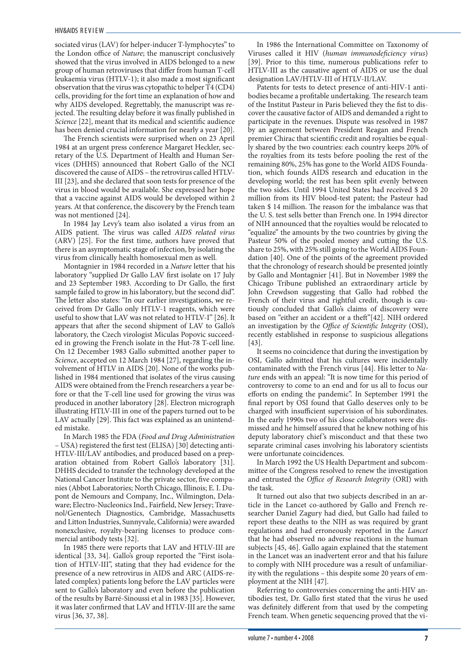sociated virus (LAV) for helper-inducer T-lymphocytes" to the London office of *Nature*; the manuscript conclusively showed that the virus involved in AIDS belonged to a new group of human retroviruses that differ from human T-cell leukaemia virus (HTLV-1); it also made a most significant observation that the virus was cytopathic to helper T4 (CD4) cells, providing for the fort time an explanation of how and why AIDS developed. Regrettably, the manuscript was rejected. The resulting delay before it was finally published in *Science* [22], meant that its medical and scientific audience has been denied crucial information for nearly a year [20].

The French scientists were surprised when on 23 April 1984 at an urgent press conference Margaret Heckler, secretary of the U.S. Department of Health and Human Services (DHHS) announced that Robert Gallo of the NCI discovered the cause of AIDS – the retrovirus called HTLV-III [23], and she declared that soon tests for presence of the virus in blood would be available. She expressed her hope that a vaccine against AIDS would be developed within 2 years. At that conference, the discovery by the French team was not mentioned [24].

In 1984 Jay Levy's team also isolated a virus from an AIDS patient. The virus was called *AIDS related virus* (ARV) [25]. For the first time, authors have proved that there is an asymptomatic stage of infection, by isolating the virus from clinically health homosexual men as well.

Montagnier in 1984 recorded in a *Nature* letter that his laboratory "supplied Dr Gallo LAV first isolate on 17 July and 23 September 1983. According to Dr Gallo, the first sample failed to grow in his laboratory, but the second did". The letter also states: "In our earlier investigations, we received from Dr Gallo only HTLV-1 reagents, which were useful to show that LAV was not related to HTLV-I" [26]. It appears that after the second shipment of LAV to Gallo's laboratory, the Czech virologist Miculas Popovic succeeded in growing the French isolate in the Hut-78 T-cell line. On 12 December 1983 Gallo submitted another paper to *Science*, accepted on 12 March 1984 [27], regarding the involvement of HTLV in AIDS [20]. None of the works published in 1984 mentioned that isolates of the virus causing AIDS were obtained from the French researchers a year before or that the T-cell line used for growing the virus was produced in another laboratory [28]. Electron micrograph illustrating HTLV-III in one of the papers turned out to be LAV actually [29]. This fact was explained as an unintended mistake.

In March 1985 the FDA (*Food and Drug Administration* – USA) registered the first test (ELISA) [30] detecting anti-HTLV-III/LAV antibodies, and produced based on a preparation obtained from Robert Gallo's laboratory [31]. DHHS decided to transfer the technology developed at the National Cancer Institute to the private sector, five companies (Abbot Laboratories; North Chicago, Illinois; E. I. Dupont de Nemours and Company, Inc., Wilmington, Delaware; Electro-Nucleonics Ind., Fairfield, New Jersey; Travenol/Genentech Diagnostics, Cambridge, Massachusetts and Litton Industries, Sunnyvale, California) were awarded nonexclusive, royalty-bearing licenses to produce commercial antibody tests [32].

In 1985 there were reports that LAV and HTLV-III are identical [33, 34]. Gallo's group reported the "First isolation of HTLV-III", stating that they had evidence for the presence of a new retrovirus in AIDS and ARC (AIDS-related complex) patients long before the LAV particles were sent to Gallo's laboratory and even before the publication of the results by Barré-Sinoussi et al in 1983 [35]. However, it was later confirmed that LAV and HTLV-III are the same virus [36, 37, 38].

In 1986 the International Committee on Taxonomy of Viruses called it HIV (*human immunodeficiency virus*) [39]. Prior to this time, numerous publications refer to HTLV-III as the causative agent of AIDS or use the dual designation LAV/HTLV-III of HTLV-II/LAV.

Patents for tests to detect presence of anti-HIV-1 antibodies became a profitable undertaking. The research team of the Institut Pasteur in Paris believed they the fist to discover the causative factor of AIDS and demanded a right to participate in the revenues. Dispute was resolved in 1987 by an agreement between President Reagan and French premier Chirac that scientific credit and royalties be equally shared by the two countries: each country keeps 20% of the royalties from its tests before pooling the rest of the remaining 80%, 25% has gone to the World AIDS Foundation, which founds AIDS research and education in the developing world; the rest has been split evenly between the two sides. Until 1994 United States had received \$ 20 million from its HIV blood-test patent; the Pasteur had taken \$ 14 million. The reason for the imbalance was that the U. S. test sells better than French one. In 1994 director of NIH announced that the royalties would be relocated to "equalize" the amounts by the two countries by giving the Pasteur 50% of the pooled money and cutting the U.S. share to 25%, with 25% still going to the World AIDS Foundation [40]. One of the points of the agreement provided that the chronology of research should be presented jointly by Gallo and Montagnier [41]. But in November 1989 the Chicago Tribune published an extraordinary article by John Crewdson suggesting that Gallo had robbed the French of their virus and rightful credit, though is cautiously concluded that Gallo's claims of discovery were based on "either an accident or a theft"[42]. NIH ordered an investigation by the *Office of Scientific Integrity* (OSI), recently established in response to suspicious allegations [43].

It seems no coincidence that during the investigation by OSI, Gallo admitted that his cultures were incidentally contaminated with the French virus [44]. His letter to *Nature* ends with an appeal: "It is now time for this period of controversy to come to an end and for us all to focus our efforts on ending the pandemic". In September 1991 the final report by OSI found that Gallo deserves only to be charged with insufficient supervision of his subordinates. In the early 1990s two of his close collaborators were dismissed and he himself assured that he knew nothing of his deputy laboratory chief 's misconduct and that these two separate criminal cases involving his laboratory scientists were unfortunate coincidences.

In March 1992 the US Health Department and subcommittee of the Congress resolved to renew the investigation and entrusted the *Office of Research Integrity* (ORI) with the task.

It turned out also that two subjects described in an article in the Lancet co-authored by Gallo and French researcher Daniel Zagury had died, but Gallo had failed to report these deaths to the NIH as was required by grant regulations and had erroneously reported in the *Lancet* that he had observed no adverse reactions in the human subjects [45, 46]. Gallo again explained that the statement in the Lancet was an inadvertent error and that his failure to comply with NIH procedure was a result of unfamiliarity with the regulations – this despite some 20 years of employment at the NIH [47].

Referring to controversies concerning the anti-HIV antibodies test, Dr. Gallo first stated that the virus he used was definitely different from that used by the competing French team. When genetic sequencing proved that the vi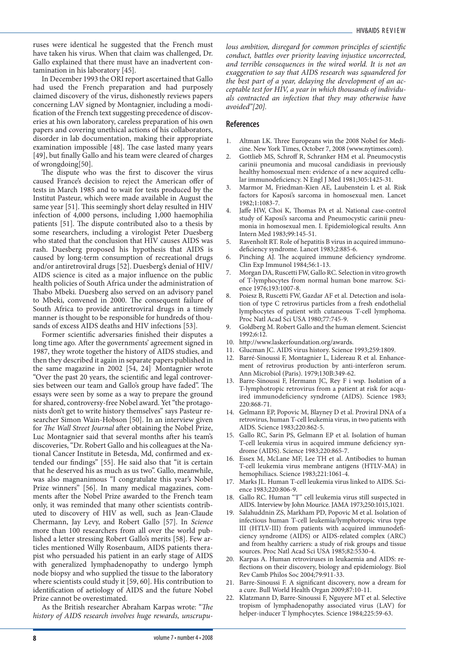ruses were identical he suggested that the French must have taken his virus. When that claim was challenged, Dr. Gallo explained that there must have an inadvertent contamination in his laboratory [45].

In December 1993 the ORI report ascertained that Gallo had used the French preparation and had purposely claimed discovery of the virus, dishonestly reviews papers concerning LAV signed by Montagnier, including a modification of the French text suggesting precedence of discoveries at his own laboratory, careless preparation of his own papers and covering unethical actions of his collaborators, disorder in lab documentation, making their appropriate examination impossible [48]. The case lasted many years [49], but finally Gallo and his team were cleared of charges of wrongdoing[50].

The dispute who was the first to discover the virus caused France's decision to reject the American offer of tests in March 1985 and to wait for tests produced by the Institut Pasteur, which were made available in August the same year [51]. This seemingly short delay resulted in HIV infection of 4,000 persons, including 1,000 haemophilia patients [51]. The dispute contributed also to a thesis by some researchers, including a virologist Peter Duesberg who stated that the conclusion that HIV causes AIDS was rash. Duesberg proposed his hypothesis that AIDS is caused by long-term consumption of recreational drugs and/or antiretroviral drugs [52]. Duesberg's denial of HIV/ AIDS science is cited as a major influence on the public health policies of South Africa under the administration of Thabo Mbeki. Duesberg also served on an advisory panel to Mbeki, convened in 2000. The consequent failure of South Africa to provide antiretroviral drugs in a timely manner is thought to be responsible for hundreds of thousands of excess AIDS deaths and HIV infections [53].

Former scientific adversaries finished their disputes a long time ago. After the governments' agreement signed in 1987, they wrote together the history of AIDS studies, and then they described it again in separate papers published in the same magazine in 2002 [54, 24]. Montagnier wrote "Over the past 20 years, the scientific and legal controversies between our team and Gallo's group have faded". The essays were seen by some as a way to prepare the ground for shared, controversy-free Nobel award. Yet "the protagonists don't get to write history themselves" says Pasteur researcher Simon Wain-Hobson [50]. In an interview given for *The Wall Street Journal* after obtaining the Nobel Prize, Luc Montagnier said that several months after his team's discoveries, "Dr. Robert Gallo and his colleagues at the National Cancer Institute in Betesda, Md, confirmed and extended our findings" [55]. He said also that "it is certain that he deserved his as much as us two". Gallo, meanwhile, was also magnanimous "I congratulate this year's Nobel Prize winners" [56]. In many medical magazines, comments after the Nobel Prize awarded to the French team only, it was reminded that many other scientists contributed to discovery of HIV as well, such as Jean-Claude Chermann, Jay Levy, and Robert Gallo [57]. In *Science* more than 100 researchers from all over the world published a letter stressing Robert Gallo's merits [58]. Few articles mentioned Willy Rosenbaum, AIDS patients therapist who persuaded his patient in an early stage of AIDS with generalized lymphadenopathy to undergo lymph node biopsy and who supplied the tissue to the laboratory where scientists could study it [59, 60]. His contribution to identification of aetiology of AIDS and the future Nobel Prize cannot be overestimated.

As the British researcher Abraham Karpas wrote: "*The history of AIDS research involves huge rewards, unscrupu-* *lous ambition, disregard for common principles of scientific conduct, battles over priority leaving injustice uncorrected, and terrible consequences in the wired world. It is not an exaggeration to say that AIDS research was squandered for the best part of a year, delaying the development of an acceptable test for HIV, a year in which thousands of individuals contracted an infection that they may otherwise have avoided"[20].*

- Altman LK. Three Europeans win the 2008 Nobel for Medicine. New York Times, October 7, 2008 (www.nytimes.com).
- 2. Gottlieb MS, Schroff R, Schranker HM et al. Pneumocystis carinii pneumonia and mucosal candidiasis in previously healthy homosexual men: evidence of a new acquired cellular immunodeficiency. N Engl J Med 1981;305:1425-31.
- 3. Marmor M, Friedman-Kien AE, Laubenstein L et al. Risk factors for Kaposi's sarcoma in homosexual men. Lancet 1982;1:1083-7.
- 4. Jaffe HW, Choi K, Thomas PA et al. National case-control study of Kaposi's sarcoma and Pneumocystic carinii pneumonia in homosexual men. I. Epidemiological results. Ann Intern Med 1983;99:145-51.
- 5. Ravenholt RT. Role of hepatitis B virus in acquired immunodeficiency syndrome. Lancet 1983;2:885-6.
- 6. Pinching AJ. The acquired immune deficiency syndrome. Clin Exp Immunol 1984;56:1-13.
- 7. Morgan DA, Ruscetti FW, Gallo RC. Selection in vitro growth of T-lymphocytes from normal human bone marrow. Science 1976;193:1007-8.
- 8. Poiesz B, Ruscetti FW, Gazdar AF et al. Detection and isolation of type C retrovirus particles from a fresh endothelial lymphocytes of patient with cutaneous T-cell lymphoma. Proc Natl Acad Sci USA 1980;77:745-9.
- 9. Goldberg M. Robert Gallo and the human element. Sciencist 1992;6:12.
- 10. http://www.laskerfoundation.org/awards.
- 11. Glucman JC. AIDS virus history. Science 1993;259:1809.
- 12. Barré-Sinoussi F, Montagnier L, Lidereau R et al. Enhancement of retrovirus production by anti-interferon serum. Ann Microbiol (Paris). 1979;130B:349-62.
- 13. Barre-Sinoussi F, Hermann JC, Rey F i wsp. Isolation of a T-lymphotropic retrovirus from a patient at risk for acquired immunodeficiency syndrome (AIDS). Science 1983; 220:868-71.
- 14. Gelmann EP, Popovic M, Blayney D et al. Proviral DNA of a retrovirus, human T-cell leukemia virus, in two patients with AIDS. Science 1983;220:862-5.
- 15. Gallo RC, Sarin PS, Gelmann EP et al. Isolation of human T-cell leukemia virus in acquired immune deficiency syndrome (AIDS). Science 1983;220:865-7.
- 16. Essex M, McLane MF, Lee TH et al. Antibodies to human T-cell leukemia virus membrane antigens (HTLV-MA) in hemophiliacs. Science 1983;221:1061-4.
- 17. Marks JL. Human T-cell leukemia virus linked to AIDS. Science 1983;220:806-9.
- 18. Gallo RC. Human "T" cell leukemia virus still suspected in AIDS. Interview by John Mourice. JAMA 1973;250:1015,1021.
- 19. Salahuddnin ZS, Markham PD, Popovic M et al. Isolation of infectious human T-cell leukemia/lymphotropic virus type III (HTLV-III) from patients with acquired immunodeficiency syndrome (AIDS) or AIDS-related complex (ARC) and from healthy carriers: a study of risk groups and tissue sources. Proc Natl Acad Sci USA 1985;82:5530-4.
- 20. Karpas A. Human retroviruses in leukaemia and AIDS: reflections on their discovery, biology and epidemiology. Biol Rev Camb Philos Soc 2004;79:911-33.
- 21. Barre-Sinoussi F. A significant discovery, now a dream for a cure. Bull World Health Organ 2009;87:10-11.
- 22. Klatzmann D, Barre-Sinoussi F, Nguyere MT et al. Selective tropism of lymphadenopathy associated virus (LAV) for helper-inducer T lymphocytes. Science 1984;225:59-63.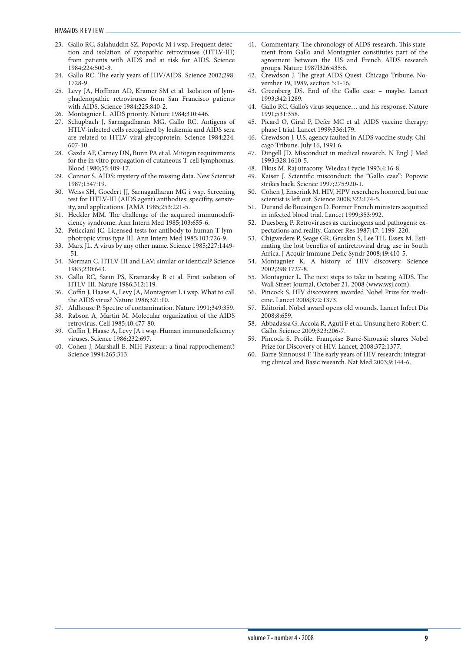- 23. Gallo RC, Salahuddin SZ, Popovic M i wsp. Frequent detection and isolation of cytopathic retroviruses (HTLV-III) from patients with AIDS and at risk for AIDS. Science 1984;224:500-3.
- 24. Gallo RC. The early years of HIV/AIDS. Science 2002;298: 1728-9.
- 25. Levy JA, Hoffman AD, Kramer SM et al. Isolation of lymphadenopathic retroviruses from San Francisco patients with AIDS. Science 1984;225:840-2.
- 26. Montagnier L. AIDS priority. Nature 1984;310:446.
- 27. Schupbach J, Sarnagadharan MG, Gallo RC. Antigens of HTLV-infected cells recognized by leukemia and AIDS sera are related to HTLV viral glycoprotein. Science 1984;224: 607-10.
- 28. Gazda AF, Carney DN, Bunn PA et al. Mitogen requirements for the in vitro propagation of cutaneous T-cell lymphomas. Blood 1980;55:409-17.
- 29. Connor S. AIDS: mystery of the missing data. New Scientist 1987;1547:19.
- 30. Weiss SH, Goedert JJ, Sarnagadharan MG i wsp. Screening test for HTLV-III (AIDS agent) antibodies: specifity, sensivity, and applications. JAMA 1985;253:221-5.
- 31. Heckler MM. The challenge of the acquired immunodeficiency syndrome. Ann Intern Med 1985;103:655-6.
- 32. Peticciani JC. Licensed tests for antibody to human T-lymphotropic virus type III. Ann Intern Med 1985;103:726-9.
- 33. Marx JL. A virus by any other name. Science 1985;227:1449- -51.
- 34. Norman C. HTLV-III and LAV: similar or identical? Science 1985;230:643.
- 35. Gallo RC, Sarin PS, Kramarsky B et al. First isolation of HTLV-III. Nature 1986;312:119.
- 36. Coffin J, Haase A, Levy JA, Montagnier L i wsp. What to call the AIDS virus? Nature 1986;321:10.
- 37. Aldhouse P. Spectre of contamination. Nature 1991;349:359.
- 38. Rabson A, Martin M. Molecular organization of the AIDS retrovirus. Cell 1985;40:477-80.
- 39. Coffin J, Haase A, Levy JA i wsp. Human immunodeficiency viruses. Science 1986;232:697.
- 40. Cohen J, Marshall E. NIH-Pasteur: a final rapprochement? Science 1994;265:313.
- 41. Commentary. The chronology of AIDS research. This statement from Gallo and Montagnier constitutes part of the agreement between the US and French AIDS research groups. Nature 1987l326:435:6.
- 42. Crewdson J. The great AIDS Quest. Chicago Tribune, November 19, 1989, section 5:1-16.
- 43. Greenberg DS. End of the Gallo case maybe. Lancet 1993;342:1289.
- 44. Gallo RC. Gallo's virus sequence… and his response. Nature 1991;531:358.
- 45. Picard O, Giral P, Defer MC et al. AIDS vaccine therapy: phase I trial. Lancet 1999;336:179.
- 46. Crewdson J. U.S. agency faulted in AIDS vaccine study. Chicago Tribune. July 16, 1991:6.
- 47. Dingell JD. Misconduct in medical research. N Engl J Med 1993;328:1610-5.
- 48. Fikus M. Raj utracony. Wiedza i życie 1993;4:16-8.
- 49. Kaiser J. Scientific misconduct: the "Gallo case": Popovic strikes back. Science 1997;275:920-1.
- 50. Cohen J, Enserink M. HIV, HPV reserchers honored, but one scientist is left out. Science 2008;322:174-5.
- 51. Durand de Bousingen D. Former French ministers acquitted in infected blood trial. Lancet 1999;353:992.
- 52. Duesberg P. Retroviruses as carcinogens and pathogens: expectations and reality. Cancer Res 1987;47: 1199–220.
- 53. Chigwedere P, Seage GR, Gruskin S, Lee TH, Essex M. Estimating the lost benefits of antiretroviral drug use in South Africa. J Acquir Immune Defic Syndr 2008;49:410-5.
- 54. Montagnier K. A history of HIV discovery. Science 2002;298:1727-8.
- 55. Montagnier L. The next steps to take in beating AIDS. The Wall Street Journal, October 21, 2008 (www.wsj.com).
- 56. Pincock S. HIV discoverers awarded Nobel Prize for medicine. Lancet 2008;372:1373.
- 57. Editorial. Nobel award opens old wounds. Lancet Infect Dis 2008;8:659.
- 58. Abbadassa G, Accola R, Aguti F et al. Unsung hero Robert C. Gallo. Science 2009;323:206-7.
- 59. Pincock S. Profile. Françoise Barré-Sinoussi: shares Nobel Prize for Discovery of HIV. Lancet, 2008;372:1377.
- 60. Barre-Sinnoussi F. The early years of HIV research: integrating clinical and Basic research. Nat Med 2003;9:144-6.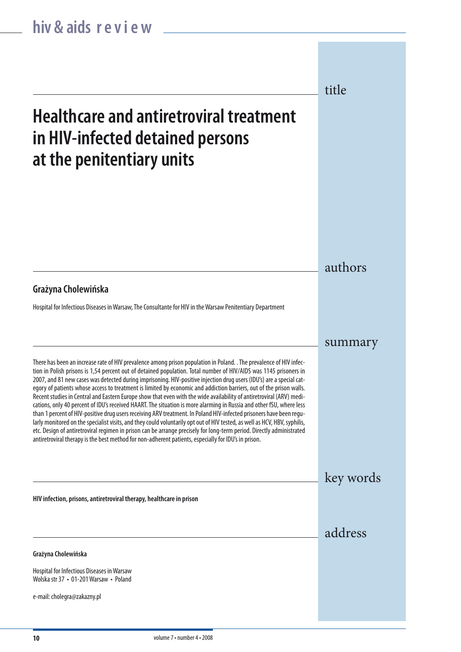## **Healthcare and antiretroviral treatment in HIV-infected detained persons at the penitentiary units**

authors

title

summary

key words

address

#### **Grażyna Cholewińska**

Hospital for Infectious Diseases in Warsaw, The Consultante for HIV in the Warsaw Penitentiary Department

There has been an increase rate of HIV prevalence among prison population in Poland. . The prevalence of HIV infection in Polish prisons is 1,54 percent out of detained population. Total number of HIV/AIDS was 1145 prisoners in 2007, and 81 new cases was detected during imprisoning. HIV-positive injection drug users (IDU's) are a special category of patients whose access to treatment is limited by economic and addiction barriers, out of the prison walls. Recent studies in Central and Eastern Europe show that even with the wide availability of antiretroviral (ARV) medications, only 40 percent of IDU's received HAART. The situation is more alarming in Russia and other fSU, where less than 1 percent of HIV-positive drug users receiving ARV treatment. In Poland HIV-infected prisoners have been regularly monitored on the specialist visits, and they could voluntarily opt out of HIV tested, as well as HCV, HBV, syphilis, etc. Design of antiretroviral regimen in prison can be arrange precisely for long-term period. Directly administrated antiretroviral therapy is the best method for non-adherent patients, especially for IDU's in prison.

**HIV infection, prisons, antiretroviral therapy, healthcare in prison**

**Grażyna Cholewińska**

Hospital for Infectious Diseases in Warsaw Wolska str 37 • 01-201 Warsaw • Poland

e-mail: cholegra@zakazny.pl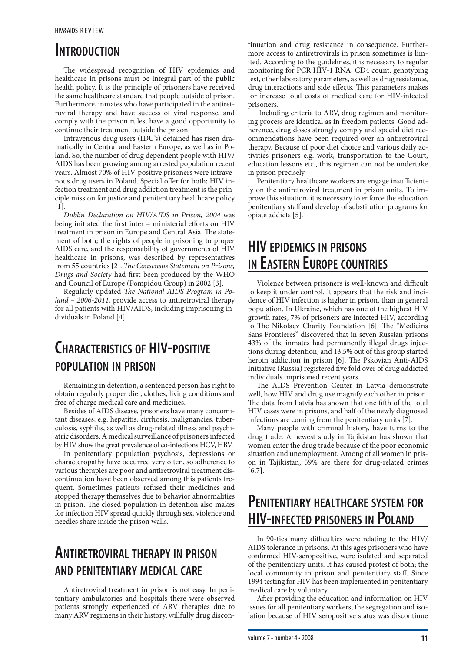### **Introduction**

The widespread recognition of HIV epidemics and healthcare in prisons must be integral part of the public health policy. It is the principle of prisoners have received the same healthcare standard that people outside of prison. Furthermore, inmates who have participated in the antiretroviral therapy and have success of viral response, and comply with the prison rules, have a good opportunity to continue their treatment outside the prison.

Intravenous drug users (IDU's) detained has risen dramatically in Central and Eastern Europe, as well as in Poland. So, the number of drug dependent people with HIV/ AIDS has been growing among arrested population recent years. Almost 70% of HIV-positive prisoners were intravenous drug users in Poland. Special offer for both; HIV infection treatment and drug addiction treatment is the principle mission for justice and penitentiary healthcare policy [1].

*Dublin Declaration on HIV/AIDS in Prison, 2004* was being initiated the first inter – ministerial efforts on HIV treatment in prison in Europe and Central Asia. The statement of both; the rights of people imprisoning to proper AIDS care, and the responsability of governments of HIV healthcare in prisons, was described by representatives from 55 countries [2]. *The Consensus Statement on Prisons, Drugs and Society* had first been produced by the WHO and Council of Europe (Pompidou Group) in 2002 [3].

Regularly updated *The National AIDS Program in Poland – 2006-2011*, provide access to antiretroviral therapy for all patients with HIV/AIDS, including imprisoning individuals in Poland [4].

### **Characteristics of HIV-positive population in prison**

Remaining in detention, a sentenced person has right to obtain regularly proper diet, clothes, living conditions and free of charge medical care and medicines.

Besides of AIDS disease, prisoners have many concomitant diseases, e.g. hepatitis, cirrhosis, malignancies, tuberculosis, syphilis, as well as drug-related illness and psychiatric disorders. A medical surveillance of prisoners infected by HIV show the great prevalence of co-infections HCV, HBV.

In penitentiary population psychosis, depressions or characteropathy have occurred very often, so adherence to various therapies are poor and antiretroviral treatment discontinuation have been observed among this patients frequent. Sometimes patients refused their medicines and stopped therapy themselves due to behavior abnormalities in prison. The closed population in detention also makes for infection HIV spread quickly through sex, violence and needles share inside the prison walls.

### **Antiretroviral therapy in prison and penitentiary medical care**

Antiretroviral treatment in prison is not easy. In penitentiary ambulatories and hospitals there were observed patients strongly experienced of ARV therapies due to many ARV regimens in their history, willfully drug discontinuation and drug resistance in consequence. Furthermore access to antiretrovirals in prison sometimes is limited. According to the guidelines, it is necessary to regular monitoring for PCR HIV-1 RNA, CD4 count, genotyping test, other laboratory parameters, as well as drug resistance, drug interactions and side effects. This parameters makes for increase total costs of medical care for HIV-infected prisoners.

 Including criteria to ARV, drug regimen and monitoring process are identical as in freedom patients. Good adherence, drug doses strongly comply and special diet recommendations have been required over an antiretroviral therapy. Because of poor diet choice and various daily activities prisoners e.g. work, transportation to the Court, education lessons etc., this regimen can not be undertake in prison precisely.

Penitentiary healthcare workers are engage insufficiently on the antiretroviral treatment in prison units. To improve this situation, it is necessary to enforce the education penitentiary staff and develop of substitution programs for opiate addicts [5].

### **HIV epidemics in prisons in Eastern Europe countries**

Violence between prisoners is well-known and difficult to keep it under control. It appears that the risk and incidence of HIV infection is higher in prison, than in general population. In Ukraine, which has one of the highest HIV growth rates, 7% of prisoners are infected HIV, according to The Nikolaev Charity Foundation [6]. The "Medicins Sans Frontieres" discovered that in seven Russian prisons 43% of the inmates had permanently illegal drugs injections during detention, and 13,5% out of this group started heroin addiction in prison [6]. The Pskovian Anti-AIDS Initiative (Russia) registered five fold over of drug addicted individuals imprisoned recent years.

The AIDS Prevention Center in Latvia demonstrate well, how HIV and drug use magnify each other in prison. The data from Latvia has shown that one fifth of the total HIV cases were in prisons, and half of the newly diagnosed infections are coming from the penitentiary units [7].

Many people with criminal history, have turns to the drug trade. A newest study in Tajikistan has shown that women enter the drug trade because of the poor economic situation and unemployment. Among of all women in prison in Tajikistan, 59% are there for drug-related crimes [6,7].

### **Penitentiary healthcare system for HIV-infected prisoners in Poland**

In 90-ties many difficulties were relating to the HIV/ AIDS tolerance in prisons. At this ages prisoners who have confirmed HIV-seropositive, were isolated and separated of the penitentiary units. It has caused protest of both; the local community in prison and penitentiary staff. Since 1994 testing for HIV has been implemented in penitentiary medical care by voluntary.

After providing the education and information on HIV issues for all penitentiary workers, the segregation and isolation because of HIV seropositive status was discontinue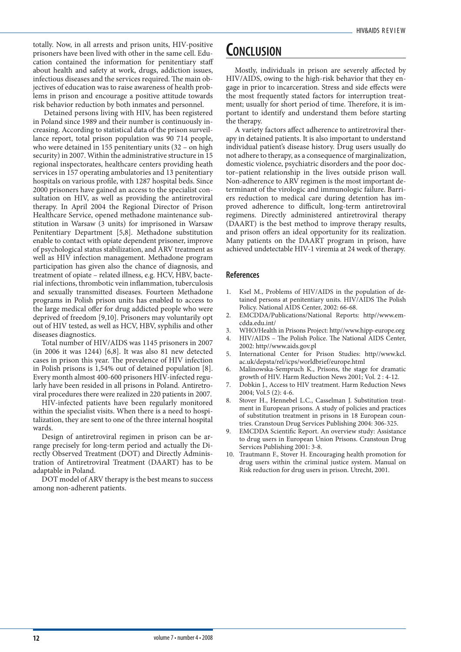totally. Now, in all arrests and prison units, HIV-positive prisoners have been lived with other in the same cell. Education contained the information for penitentiary staff about health and safety at work, drugs, addiction issues, infectious diseases and the services required. The main objectives of education was to raise awareness of health problems in prison and encourage a positive attitude towards risk behavior reduction by both inmates and personnel.

 Detained persons living with HIV, has been registered in Poland since 1989 and their number is continuously increasing. According to statistical data of the prison surveillance report, total prison population was 90 714 people, who were detained in 155 penitentiary units (32 – on high security) in 2007. Within the administrative structure in 15 regional inspectorates, healthcare centers providing heath services in 157 operating ambulatories and 13 penitentiary hospitals on various profile, with 1287 hospital beds. Since 2000 prisoners have gained an access to the specialist consultation on HIV, as well as providing the antiretroviral therapy. In April 2004 the Regional Director of Prison Healthcare Service, opened methadone maintenance substitution in Warsaw (3 units) for imprisoned in Warsaw Penitentiary Department [5,8]. Methadone substitution enable to contact with opiate dependent prisoner, improve of psychological status stabilization, and ARV treatment as well as HIV infection management. Methadone program participation has given also the chance of diagnosis, and treatment of opiate – related illness, e.g. HCV, HBV, bacterial infections, thrombotic vein inflammation, tuberculosis and sexually transmitted diseases. Fourteen Methadone programs in Polish prison units has enabled to access to the large medical offer for drug addicted people who were deprived of freedom [9,10]. Prisoners may voluntarily opt out of HIV tested, as well as HCV, HBV, syphilis and other diseases diagnostics.

Total number of HIV/AIDS was 1145 prisoners in 2007 (in 2006 it was 1244) [6,8]. It was also 81 new detected cases in prison this year. The prevalence of HIV infection in Polish prisons is 1,54% out of detained population [8]. Every month almost 400-600 prisoners HIV-infected regularly have been resided in all prisons in Poland. Antiretroviral procedures there were realized in 220 patients in 2007.

HIV-infected patients have been regularly monitored within the specialist visits. When there is a need to hospitalization, they are sent to one of the three internal hospital wards.

Design of antiretroviral regimen in prison can be arrange precisely for long-term period and actually the Directly Observed Treatment (DOT) and Directly Administration of Antiretroviral Treatment (DAART) has to be adaptable in Poland.

DOT model of ARV therapy is the best means to success among non-adherent patients.

### **Conclusion**

Mostly, individuals in prison are severely affected by HIV/AIDS, owing to the high-risk behavior that they engage in prior to incarceration. Stress and side effects were the most frequently stated factors for interruption treatment; usually for short period of time. Therefore, it is important to identify and understand them before starting the therapy.

A variety factors affect adherence to antiretroviral therapy in detained patients. It is also important to understand individual patient's disease history. Drug users usually do not adhere to therapy, as a consequence of marginalization, domestic violence, psychiatric disorders and the poor doctor–patient relationship in the lives outside prison wall. Non-adherence to ARV regimen is the most important determinant of the virologic and immunologic failure. Barriers reduction to medical care during detention has improved adherence to difficult, long-term antiretroviral regimens. Directly administered antiretroviral therapy (DAART) is the best method to improve therapy results, and prison offers an ideal opportunity for its realization. Many patients on the DAART program in prison, have achieved undetectable HIV-1 viremia at 24 week of therapy.

- 1. Ksel M., Problems of HIV/AIDS in the population of detained persons at penitentiary units. HIV/AIDS The Polish Policy. National AIDS Center, 2002: 66-68.
- 2. EMCDDA/Publications/National Reports: http//www.emcdda.edu.int/
- 3. WHO/Health in Prisons Project: http//www.hipp-europe.org
- 4. HIV/AIDS The Polish Police. The National AIDS Center, 2002: http//www.aids.gov.pl
- 5. International Center for Prison Studies: http//www.kcl. ac.uk/depsta/rel/icps/worldbrief/europe.html
- Malinowska-Sempruch K., Prisons, the stage for dramatic growth of HIV. Harm Reduction News 2001; Vol. 2 : 4-12.
- Dobkin J., Access to HIV treatment. Harm Reduction News 2004; Vol.5 (2): 4-6.
- 8. Stover H., Hennebel L.C., Casselman J. Substitution treatment in European prisons. A study of policies and practices of substitution treatment in prisons in 18 European countries. Cranstoun Drug Services Publishing 2004: 306-325.
- EMCDDA Scientific Report. An overview study: Assistance to drug users in European Union Prisons. Cranstoun Drug Services Publishing 2001: 3-8.
- 10. Trautmann F., Stover H. Encouraging health promotion for drug users within the criminal justice system. Manual on Risk reduction for drug users in prison. Utrecht, 2001.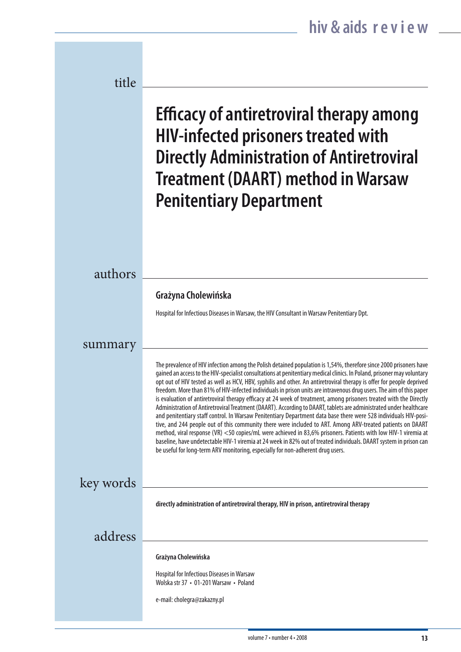| title     |                                                                                                                                                                                                                                                                                                                                                                                                                                                                                                                                                                                                                                                                                                                                                                                                                                                                                                                                                                                                                                                                                                                                                                                                                                                                                                          |
|-----------|----------------------------------------------------------------------------------------------------------------------------------------------------------------------------------------------------------------------------------------------------------------------------------------------------------------------------------------------------------------------------------------------------------------------------------------------------------------------------------------------------------------------------------------------------------------------------------------------------------------------------------------------------------------------------------------------------------------------------------------------------------------------------------------------------------------------------------------------------------------------------------------------------------------------------------------------------------------------------------------------------------------------------------------------------------------------------------------------------------------------------------------------------------------------------------------------------------------------------------------------------------------------------------------------------------|
|           | <b>Efficacy of antiretroviral therapy among</b><br><b>HIV-infected prisoners treated with</b><br><b>Directly Administration of Antiretroviral</b><br><b>Treatment (DAART) method in Warsaw</b><br><b>Penitentiary Department</b>                                                                                                                                                                                                                                                                                                                                                                                                                                                                                                                                                                                                                                                                                                                                                                                                                                                                                                                                                                                                                                                                         |
|           |                                                                                                                                                                                                                                                                                                                                                                                                                                                                                                                                                                                                                                                                                                                                                                                                                                                                                                                                                                                                                                                                                                                                                                                                                                                                                                          |
| authors   |                                                                                                                                                                                                                                                                                                                                                                                                                                                                                                                                                                                                                                                                                                                                                                                                                                                                                                                                                                                                                                                                                                                                                                                                                                                                                                          |
|           | Grażyna Cholewińska                                                                                                                                                                                                                                                                                                                                                                                                                                                                                                                                                                                                                                                                                                                                                                                                                                                                                                                                                                                                                                                                                                                                                                                                                                                                                      |
|           | Hospital for Infectious Diseases in Warsaw, the HIV Consultant in Warsaw Penitentiary Dpt.                                                                                                                                                                                                                                                                                                                                                                                                                                                                                                                                                                                                                                                                                                                                                                                                                                                                                                                                                                                                                                                                                                                                                                                                               |
| summary   |                                                                                                                                                                                                                                                                                                                                                                                                                                                                                                                                                                                                                                                                                                                                                                                                                                                                                                                                                                                                                                                                                                                                                                                                                                                                                                          |
|           | The prevalence of HIV infection among the Polish detained population is 1,54%, therefore since 2000 prisoners have<br>gained an access to the HIV-specialist consultations at penitentiary medical clinics. In Poland, prisoner may voluntary<br>opt out of HIV tested as well as HCV, HBV, syphilis and other. An antiretroviral therapy is offer for people deprived<br>freedom. More than 81% of HIV-infected individuals in prison units are intravenous drug users. The aim of this paper<br>is evaluation of antiretroviral therapy efficacy at 24 week of treatment, among prisoners treated with the Directly<br>Administration of Antiretroviral Treatment (DAART). According to DAART, tablets are administrated under healthcare<br>and penitentiary staff control. In Warsaw Penitentiary Department data base there were 528 individuals HIV-posi-<br>tive, and 244 people out of this community there were included to ART. Among ARV-treated patients on DAART<br>method, viral response (VR) <50 copies/mL were achieved in 83,6% prisoners. Patients with low HIV-1 viremia at<br>baseline, have undetectable HIV-1 viremia at 24 week in 82% out of treated individuals. DAART system in prison can<br>be useful for long-term ARV monitoring, especially for non-adherent drug users. |
| key words |                                                                                                                                                                                                                                                                                                                                                                                                                                                                                                                                                                                                                                                                                                                                                                                                                                                                                                                                                                                                                                                                                                                                                                                                                                                                                                          |
|           | directly administration of antiretroviral therapy, HIV in prison, antiretroviral therapy                                                                                                                                                                                                                                                                                                                                                                                                                                                                                                                                                                                                                                                                                                                                                                                                                                                                                                                                                                                                                                                                                                                                                                                                                 |
| address   |                                                                                                                                                                                                                                                                                                                                                                                                                                                                                                                                                                                                                                                                                                                                                                                                                                                                                                                                                                                                                                                                                                                                                                                                                                                                                                          |
|           | Grażyna Cholewińska                                                                                                                                                                                                                                                                                                                                                                                                                                                                                                                                                                                                                                                                                                                                                                                                                                                                                                                                                                                                                                                                                                                                                                                                                                                                                      |
|           | Hospital for Infectious Diseases in Warsaw<br>Wolska str 37 • 01-201 Warsaw • Poland                                                                                                                                                                                                                                                                                                                                                                                                                                                                                                                                                                                                                                                                                                                                                                                                                                                                                                                                                                                                                                                                                                                                                                                                                     |
|           | e-mail: cholegra@zakazny.pl                                                                                                                                                                                                                                                                                                                                                                                                                                                                                                                                                                                                                                                                                                                                                                                                                                                                                                                                                                                                                                                                                                                                                                                                                                                                              |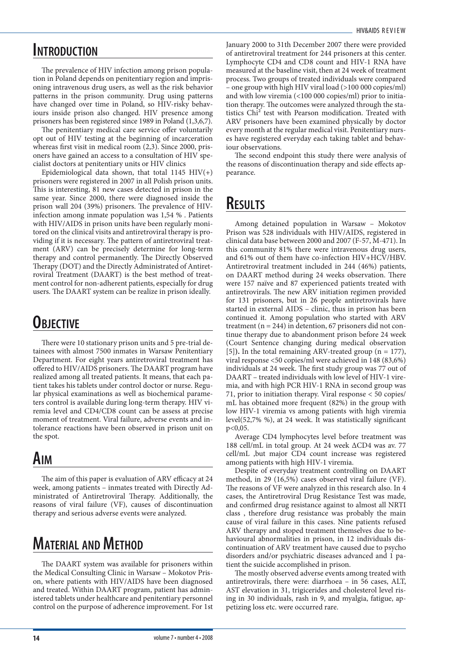### **Introduction**

The prevalence of HIV infection among prison population in Poland depends on penitentiary region and imprisoning intravenous drug users, as well as the risk behavior patterns in the prison community. Drug using patterns have changed over time in Poland, so HIV-risky behaviours inside prison also changed. HIV presence among prisoners has been registered since 1989 in Poland (1,3,6,7).

The penitentiary medical care service offer voluntarily opt out of HIV testing at the beginning of incarceration whereas first visit in medical room (2,3). Since 2000, prisoners have gained an access to a consultation of HIV specialist doctors at penitentiary units or HIV clinics

Epidemiological data shown, that total 1145  $HIV(+)$ prisoners were registered in 2007 in all Polish prison units. This is interesting, 81 new cases detected in prison in the same year. Since 2000, there were diagnosed inside the prison wall 204 (39%) prisoners. The prevalence of HIVinfection among inmate population was 1,54 % . Patients with HIV/AIDS in prison units have been regularly monitored on the clinical visits and antiretroviral therapy is providing if it is necessary. The pattern of antiretroviral treatment (ARV) can be precisely determine for long-term therapy and control permanently. The Directly Observed Therapy (DOT) and the Directly Administrated of Antiretroviral Treatment (DAART) is the best method of treatment control for non-adherent patients, especially for drug users. The DAART system can be realize in prison ideally.

### **Objective**

There were 10 stationary prison units and 5 pre-trial detainees with almost 7500 inmates in Warsaw Penitentiary Department. For eight years antiretroviral treatment has offered to HIV/AIDS prisoners. The DAART program have realized among all treated patients. It means, that each patient takes his tablets under control doctor or nurse. Regular physical examinations as well as biochemical parameters control is available during long-term therapy. HIV viremia level and CD4/CD8 count can be assess at precise moment of treatment. Viral failure, adverse events and intolerance reactions have been observed in prison unit on the spot.

### **Aim**

The aim of this paper is evaluation of ARV efficacy at 24 week, among patients – inmates treated with Directly Administrated of Antiretroviral Therapy. Additionally, the reasons of viral failure (VF), causes of discontinuation therapy and serious adverse events were analyzed.

### **Material and Method**

The DAART system was available for prisoners within the Medical Consulting Clinic in Warsaw – Mokotov Prison, where patients with HIV/AIDS have been diagnosed and treated. Within DAART program, patient has administered tablets under healthcare and penitentiary personnel control on the purpose of adherence improvement. For 1st January 2000 to 31th December 2007 there were provided of antiretroviral treatment for 244 prisoners at this center. Lymphocyte CD4 and CD8 count and HIV-1 RNA have measured at the baseline visit, then at 24 week of treatment process. Two groups of treated individuals were compared – one group with high HIV viral load (>100 000 copies/ml) and with low viremia (<100 000 copies/ml) prior to initiation therapy. The outcomes were analyzed through the statistics Chi² test with Pearson modification. Treated with ARV prisoners have been examined physically by doctor every month at the regular medical visit. Penitentiary nurses have registered everyday each taking tablet and behaviour observations.

The second endpoint this study there were analysis of the reasons of discontinuation therapy and side effects appearance.

### **Results**

Among detained population in Warsaw – Mokotov Prison was 528 individuals with HIV/AIDS, registered in clinical data base between 2000 and 2007 (F-57, M-471). In this community 81% there were intravenous drug users, and 61% out of them have co-infection HIV+HCV/HBV. Antiretroviral treatment included in 244 (46%) patients, on DAART method during 24 weeks observation. There were 157 naïve and 87 experienced patients treated with antiretrovirals. The new ARV initiation regimen provided for 131 prisoners, but in 26 people antiretrovirals have started in external AIDS – clinic, thus in prison has been continued it. Among population who started with ARV treatment ( $n = 244$ ) in detention, 67 prisoners did not continue therapy due to abandonment prison before 24 week (Court Sentence changing during medical observation [5]**).** In the total remaining ARV-treated group (n = 177), viral response <50 copies/ml were achieved in 148 (83,6%) individuals at 24 week. The first study group was 77 out of DAART – treated individuals with low level of HIV-1 viremia, and with high PCR HIV-1 RNA in second group was 71, prior to initiation therapy. Viral response < 50 copies/ mL has obtained more frequent (82%) in the group with low HIV-1 viremia vs among patients with high viremia level(52,7% %), at 24 week. It was statistically significant p<0,05.

Average CD4 lymphocytes level before treatment was 188 cell/mL in total group. At 24 week ∆CD4 was av. 77 cell/mL ,but major CD4 count increase was registered among patients with high HIV-1 viremia.

Despite of everyday treatment controlling on DAART method, in 29 (16,5%) cases observed viral failure (VF). The reasons of VF were analyzed in this research also. In 4 cases, the Antiretroviral Drug Resistance Test was made, and confirmed drug resistance against to almost all NRTI class , therefore drug resistance was probably the main cause of viral failure in this cases. Nine patients refused ARV therapy and stoped treatment themselves due to behavioural abnormalities in prison, in 12 individuals discontinuation of ARV treatment have caused due to psycho disorders and/or psychiatric diseases advanced and 1 patient the suicide accomplished in prison.

The mostly observed adverse events among treated with antiretrovirals, there were: diarrhoea – in 56 cases, ALT, AST elevation in 31, trigicerides and cholesterol level rising in 30 individuals, rash in 9, and myalgia, fatigue, appetizing loss etc. were occurred rare.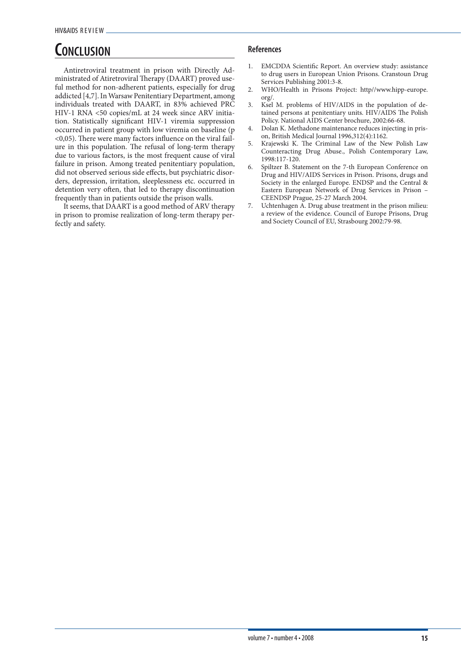### **Conclusion**

Antiretroviral treatment in prison with Directly Administrated of Atiretroviral Therapy (DAART) proved useful method for non-adherent patients, especially for drug addicted [4,7]. In Warsaw Penitentiary Department, among individuals treated with DAART, in 83% achieved PRC HIV-1 RNA <50 copies/mL at 24 week since ARV initiation. Statistically significant HIV-1 viremia suppression occurred in patient group with low viremia on baseline (p <0,05). There were many factors influence on the viral failure in this population. The refusal of long-term therapy due to various factors, is the most frequent cause of viral failure in prison. Among treated penitentiary population, did not observed serious side effects, but psychiatric disorders, depression, irritation, sleeplessness etc. occurred in detention very often, that led to therapy discontinuation frequently than in patients outside the prison walls.

It seems, that DAART is a good method of ARV therapy in prison to promise realization of long-term therapy perfectly and safety.

- 1. EMCDDA Scientific Report. An overview study: assistance to drug users in European Union Prisons. Cranstoun Drug Services Publishing 2001:3-8.
- 2. WHO/Health in Prisons Project: http//www.hipp-europe. org/.
- 3. Ksel M. problems of HIV/AIDS in the population of detained persons at penitentiary units. HIV/AIDS The Polish Policy. National AIDS Center brochure, 2002:66-68.
- 4. Dolan K. Methadone maintenance reduces injecting in prison, British Medical Journal 1996,312(4):1162.
- 5. Krajewski K. The Criminal Law of the New Polish Law Counteracting Drug Abuse., Polish Contemporary Law, 1998:117-120.
- 6. Spiltzer B. Statement on the 7-th European Conference on Drug and HIV/AIDS Services in Prison. Prisons, drugs and Society in the enlarged Europe. ENDSP and the Central & Eastern European Network of Drug Services in Prison – CEENDSP Prague, 25-27 March 2004.
- 7. Uchtenhagen A. Drug abuse treatment in the prison milieu: a review of the evidence. Council of Europe Prisons, Drug and Society Council of EU, Strasbourg 2002:79-98.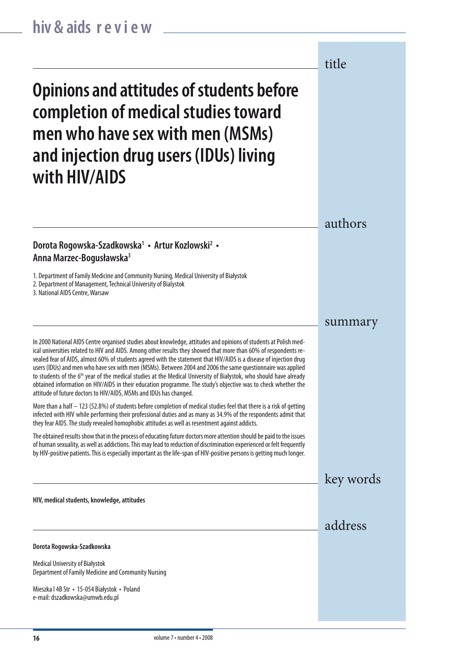authors summary key words title address **Opinions and attitudes of students before completion of medical studies toward men who have sex with men (MSMs) and injection drug users (IDUs) living with HIV/AIDS HIV, medical students, knowledge, attitudes** In 2000 National AIDS Centre organised studies about knowledge, attitudes and opinions of students at Polish medical universities related to HIV and AIDS. Among other results they showed that more than 60% of respondents revealed fear of AIDS, almost 60% of students agreed with the statement that HIV/AIDS is a disease of injection drug users (IDUs) and men who have sex with men (MSMs). Between 2004 and 2006 the same questionnaire was applied to students of the 6<sup>th</sup> year of the medical studies at the Medical University of Białystok, who should have already obtained information on HIV/AIDS in their education programme. The study's objective was to check whether the attitude of future doctors to HIV/AIDS, MSMs and IDUs has changed. More than a half – 123 (52.8%) of students before completion of medical studies feel that there is a risk of getting infected with HIV while performing their professional duties and as many as 34.9% of the respondents admit that they fear AIDS. The study revealed homophobic attitudes as well as resentment against addicts. The obtained results show that in the process of educating future doctors more attention should be paid to the issues of human sexuality, as well as addictions. This may lead to reduction of discrimination experienced or felt frequently by HIV-positive patients. This is especially important as the life-span of HIV-positive persons is getting much longer. **Dorota Rogowska-Szadkowska** Medical University of Białystok Department of Family Medicine and Community Nursing Mieszka I 4B Str • 15-054 Białystok • Poland e-mail: dszadkowska@umwb.edu.pl **Dorota Rogowska-Szadkowska1 • Artur Kozlowski2 • Anna Marzec-Bogusławska3** 1. Department of Family Medicine and Community Nursing, Medical University of Białystok 2. Department of Management, Technical University of Bialystok 3. National AIDS Centre, Warsaw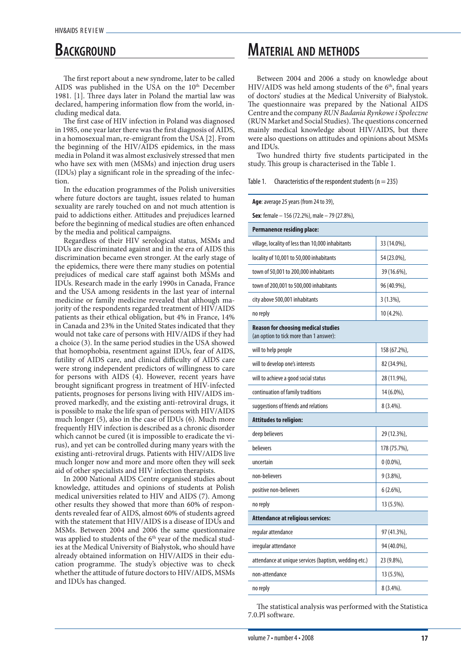### **BACKGROUND**

The first report about a new syndrome, later to be called AIDS was published in the USA on the 10<sup>th</sup> December 1981. [1]. Three days later in Poland the martial law was declared, hampering information flow from the world, including medical data.

The first case of HIV infection in Poland was diagnosed in 1985, one year later there was the first diagnosis of AIDS, in a homosexual man, re-emigrant from the USA [2]. From the beginning of the HIV/AIDS epidemics, in the mass media in Poland it was almost exclusively stressed that men who have sex with men (MSMs) and injection drug users (IDUs) play a significant role in the spreading of the infection.

In the education programmes of the Polish universities where future doctors are taught, issues related to human sexuality are rarely touched on and not much attention is paid to addictions either. Attitudes and prejudices learned before the beginning of medical studies are often enhanced by the media and political campaigns.

Regardless of their HIV serological status, MSMs and IDUs are discriminated against and in the era of AIDS this discrimination became even stronger. At the early stage of the epidemics, there were there many studies on potential prejudices of medical care staff against both MSMs and IDUs. Research made in the early 1990s in Canada, France and the USA among residents in the last year of internal medicine or family medicine revealed that although majority of the respondents regarded treatment of HIV/AIDS patients as their ethical obligation, but 4% in France, 14% in Canada and 23% in the United States indicated that they would not take care of persons with HIV/AIDS if they had a choice (3). In the same period studies in the USA showed that homophobia, resentment against IDUs, fear of AIDS, futility of AIDS care, and clinical difficulty of AIDS care were strong independent predictors of willingness to care for persons with AIDS (4). However, recent years have brought significant progress in treatment of HIV-infected patients, prognoses for persons living with HIV/AIDS improved markedly, and the existing anti-retroviral drugs, it is possible to make the life span of persons with HIV/AIDS much longer (5), also in the case of IDUs (6). Much more frequently HIV infection is described as a chronic disorder which cannot be cured (it is impossible to eradicate the virus), and yet can be controlled during many years with the existing anti-retroviral drugs. Patients with HIV/AIDS live much longer now and more and more often they will seek aid of other specialists and HIV infection therapists.

In 2000 National AIDS Centre organised studies about knowledge, attitudes and opinions of students at Polish medical universities related to HIV and AIDS (7). Among other results they showed that more than 60% of respondents revealed fear of AIDS, almost 60% of students agreed with the statement that HIV/AIDS is a disease of IDUs and MSMs. Between 2004 and 2006 the same questionnaire was applied to students of the 6<sup>th</sup> year of the medical studies at the Medical University of Białystok, who should have already obtained information on HIV/AIDS in their education programme. The study's objective was to check whether the attitude of future doctors to HIV/AIDS, MSMs and IDUs has changed.

### **Material and methods**

Between 2004 and 2006 a study on knowledge about HIV/AIDS was held among students of the  $6<sup>th</sup>$ , final years of doctors' studies at the Medical University of Białystok. The questionnaire was prepared by the National AIDS Centre and the company *RUN Badania Rynkowe i Społeczne*  (RUN Market and Social Studies). The questions concerned mainly medical knowledge about HIV/AIDS, but there were also questions on attitudes and opinions about MSMs and IDUs.

Two hundred thirty five students participated in the study. This group is characterised in the Table 1.

Table 1. Characteristics of the respondent students ( $n = 235$ )

| Age: average 25 years (from 24 to 39),                                                |              |  |  |
|---------------------------------------------------------------------------------------|--------------|--|--|
| Sex: female - 156 (72.2%), male - 79 (27.8%),                                         |              |  |  |
| <b>Permanence residing place:</b>                                                     |              |  |  |
| village, locality of less than 10,000 inhabitants                                     | 33 (14.0%),  |  |  |
| locality of 10,001 to 50,000 inhabitants                                              | 54 (23.0%),  |  |  |
| town of 50,001 to 200,000 inhabitants                                                 | 39 (16.6%),  |  |  |
| town of 200,001 to 500,000 inhabitants                                                | 96 (40.9%),  |  |  |
| city above 500,001 inhabitants                                                        | $3(1.3\%)$ , |  |  |
| no reply                                                                              | 10 (4.2%).   |  |  |
| <b>Reason for choosing medical studies</b><br>(an option to tick more than 1 answer): |              |  |  |
| will to help people                                                                   | 158 (67.2%), |  |  |
| will to develop one's interests                                                       | 82 (34.9%),  |  |  |
| will to achieve a good social status                                                  | 28 (11.9%),  |  |  |
| continuation of family traditions                                                     | 14 (6.0%),   |  |  |
| suggestions of friends and relations                                                  | $8(3.4\%).$  |  |  |
| <b>Attitudes to religion:</b>                                                         |              |  |  |
| deep believers                                                                        | 29 (12.3%),  |  |  |
| believers                                                                             | 178 (75.7%), |  |  |
| uncertain                                                                             | $0(0.0\%)$   |  |  |
| non-believers                                                                         | $9(3.8\%)$ , |  |  |
| positive non-believers                                                                | $6(2.6\%)$   |  |  |
| no reply                                                                              | 13 (5.5%).   |  |  |
| <b>Attendance at religious services:</b>                                              |              |  |  |
| regular attendance                                                                    | 97 (41.3%),  |  |  |
| irregular attendance                                                                  | 94 (40.0%),  |  |  |
| attendance at unique services (baptism, wedding etc.)                                 | 23 (9.8%),   |  |  |
| non-attendance                                                                        | 13 (5.5%),   |  |  |
| no reply                                                                              | 8 (3.4%).    |  |  |

The statistical analysis was performed with the Statistica 7.0.Pl software.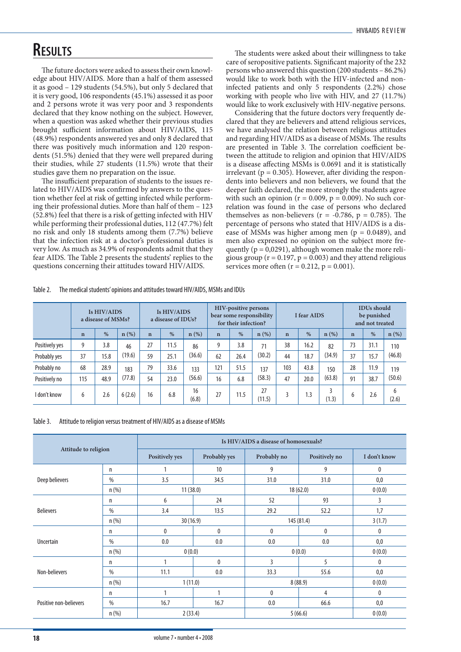### **Results**

The future doctors were asked to assess their own knowledge about HIV/AIDS. More than a half of them assessed it as good – 129 students (54.5%), but only 5 declared that it is very good, 106 respondents (45.1%) assessed it as poor and 2 persons wrote it was very poor and 3 respondents declared that they know nothing on the subject. However, when a question was asked whether their previous studies brought sufficient information about HIV/AIDS, 115 (48.9%) respondents answered yes and only 8 declared that there was positively much information and 120 respondents (51.5%) denied that they were well prepared during their studies, while 27 students (11.5%) wrote that their studies gave them no preparation on the issue.

The insufficient preparation of students to the issues related to HIV/AIDS was confirmed by answers to the question whether feel at risk of getting infected while performing their professional duties. More than half of them – 123 (52.8%) feel that there is a risk of getting infected with HIV while performing their professional duties, 112 (47.7%) felt no risk and only 18 students among them (7.7%) believe that the infection risk at a doctor's professional duties is very low. As much as 34.9% of respondents admit that they fear AIDS. The Table 2 presents the students' replies to the questions concerning their attitudes toward HIV/AIDS.

The students were asked about their willingness to take care of seropositive patients. Significant majority of the 232 persons who answered this question (200 students – 86.2%) would like to work both with the HIV-infected and noninfected patients and only 5 respondents (2.2%) chose working with people who live with HIV, and 27 (11.7%) would like to work exclusively with HIV-negative persons.

Considering that the future doctors very frequently declared that they are believers and attend religious services, we have analysed the relation between religious attitudes and regarding HIV/AIDS as a disease of MSMs. The results are presented in Table 3. The correlation coefficient between the attitude to religion and opinion that HIV/AIDS is a disease affecting MSMs is 0.0691 and it is statistically irrelevant ( $p = 0.305$ ). However, after dividing the respondents into believers and non believers, we found that the deeper faith declared, the more strongly the students agree with such an opinion ( $r = 0.009$ ,  $p = 0.009$ ). No such correlation was found in the case of persons who declared themselves as non-believers ( $r = -0.786$ ,  $p = 0.785$ ). The percentage of persons who stated that HIV/AIDS is a disease of MSMs was higher among men ( $p = 0.0489$ ), and men also expressed no opinion on the subject more frequently ( $p = 0.0291$ ), although women make the more religious group ( $r = 0.197$ ,  $p = 0.003$ ) and they attend religious services more often  $(r = 0.212, p = 0.001)$ .

| Table 2. | The medical students' opinions and attitudes toward HIV/AIDS, MSMs and IDUs |
|----------|-----------------------------------------------------------------------------|
|----------|-----------------------------------------------------------------------------|

|                | Is HIV/AIDS<br>a disease of MSMs? |      | Is HIV/AIDS<br>a disease of IDUs? |             | <b>HIV-positive persons</b><br>bear some responsibility<br>for their infection? |             |              | I fear AIDS |              |             | <b>IDUs</b> should<br>be punished<br>and not treated |                                  |             |      |            |
|----------------|-----------------------------------|------|-----------------------------------|-------------|---------------------------------------------------------------------------------|-------------|--------------|-------------|--------------|-------------|------------------------------------------------------|----------------------------------|-------------|------|------------|
|                | $\mathbf n$                       | $\%$ | $n(\%)$                           | $\mathbf n$ | $\%$                                                                            | $n$ (%)     | $\mathbf{n}$ | $\%$        | $n$ (%)      | $\mathbf n$ | $\%$                                                 | $n$ (%)                          | $\mathbf n$ | $\%$ | $n$ (%)    |
| Positively yes | 9                                 | 3.8  | 46                                | 27          | 11.5                                                                            | 86          | 9            | 3.8         | 71           | 38          | 16.2                                                 | 82                               | 73          | 31.1 | 110        |
| Probably yes   | 37                                | 15.8 | (19.6)                            | 59          | 25.1                                                                            | (36.6)      | 62           | 26.4        | (30.2)       | 44          | 18.7                                                 | (34.9)                           | 37          | 15.7 | (46.8)     |
| Probably no    | 68                                | 28.9 | 183                               | 79          | 33.6                                                                            | 133         | 121          | 51.5        | 137          | 103         | 43.8                                                 | 150                              | 28          | 11.9 | 119        |
| Positively no  | 115                               | 48.9 | (77.8)                            | 54          | 23.0                                                                            | (56.6)      | 16           | 6.8         | (58.3)       | 47          | 20.0                                                 | (63.8)                           | 91          | 38.7 | (50.6)     |
| I don't know   | 6                                 | 2.6  | 6(2.6)                            | 16          | 6.8                                                                             | 16<br>(6.8) | 27           | 11.5        | 27<br>(11.5) |             | 1.3                                                  | $\overline{\mathbf{z}}$<br>(1.3) | b           | 2.6  | 6<br>(2.6) |

Table 3. Attitude to religion versus treatment of HIV/AIDS as a disease of MSMs

|                        |         | Is HIV/AIDS a disease of homosexuals? |              |              |               |              |  |  |  |  |  |
|------------------------|---------|---------------------------------------|--------------|--------------|---------------|--------------|--|--|--|--|--|
| Attitude to religion   |         | Positively yes                        | Probably yes | Probably no  | Positively no | I don't know |  |  |  |  |  |
|                        | n       | 1                                     | 10           | 9            | 9             | 0            |  |  |  |  |  |
| Deep believers         | $\%$    | 3.5                                   | 34.5         | 31.0         | 31.0          | 0,0          |  |  |  |  |  |
|                        | $n$ (%) | 11(38.0)                              |              | 18(62.0)     | 0(0.0)        |              |  |  |  |  |  |
|                        | n       | 6                                     | 24           | 52           | 93            | 3            |  |  |  |  |  |
| <b>Believers</b>       | $\%$    | 3.4                                   | 13.5         | 29.2         | 52.2          | 1,7          |  |  |  |  |  |
|                        | n(%)    | 30(16.9)                              |              | 145 (81.4)   | 3(1.7)        |              |  |  |  |  |  |
|                        | n       | 0                                     | $\mathbf{0}$ | $\mathbf{0}$ | $\mathbf{0}$  | $\mathbf{0}$ |  |  |  |  |  |
| Uncertain              | %       | 0.0                                   | 0.0          | 0.0          | 0.0           | 0,0          |  |  |  |  |  |
|                        | $n$ (%) | 0(0.0)                                |              | 0(0.0)       | 0(0.0)        |              |  |  |  |  |  |
|                        | n       | $\mathbf{1}$                          | $\mathbf{0}$ | 3            | 5             | $\mathbf{0}$ |  |  |  |  |  |
| Non-believers          | %       | 11.1                                  | 0.0          | 33.3         | 55.6          | 0,0          |  |  |  |  |  |
|                        | n(%)    | 1(11.0)                               |              | 8(88.9)      | 0(0.0)        |              |  |  |  |  |  |
|                        | n       | 1                                     |              | 0            | 4             | 0            |  |  |  |  |  |
| Positive non-believers | $\%$    | 16.7                                  | 16.7         | 0.0          | 66.6          | 0,0          |  |  |  |  |  |
|                        | $n$ (%) | 2(33.4)                               |              | 5(66.6)      | 0(0.0)        |              |  |  |  |  |  |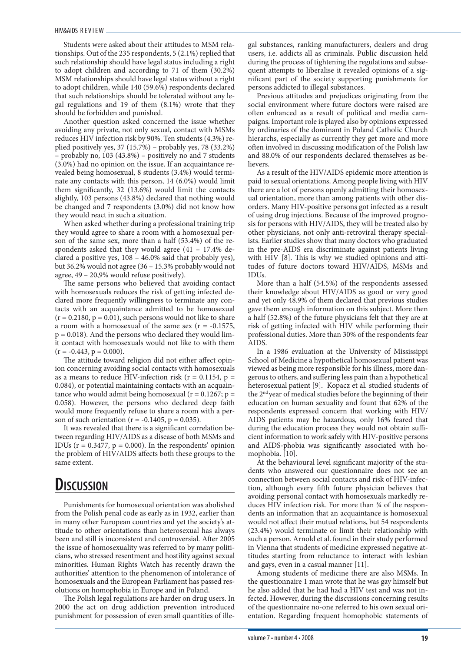Students were asked about their attitudes to MSM relationships. Out of the 235 respondents, 5 (2.1%) replied that such relationship should have legal status including a right to adopt children and according to 71 of them (30.2%) MSM relationships should have legal status without a right to adopt children, while 140 (59.6%) respondents declared that such relationships should be tolerated without any legal regulations and 19 of them (8.1%) wrote that they should be forbidden and punished.

Another question asked concerned the issue whether avoiding any private, not only sexual, contact with MSMs reduces HIV infection risk by 90%. Ten students (4.3%) replied positively yes, 37 (15.7%) – probably yes, 78 (33.2%) – probably no, 103 (43.8%) – positively no and 7 students (3.0%) had no opinion on the issue. If an acquaintance revealed being homosexual, 8 students (3.4%) would terminate any contacts with this person, 14 (6.0%) would limit them significantly, 32 (13.6%) would limit the contacts slightly, 103 persons (43.8%) declared that nothing would be changed and 7 respondents (3.0%) did not know how they would react in such a situation.

When asked whether during a professional training trip they would agree to share a room with a homosexual person of the same sex, more than a half (53.4%) of the respondents asked that they would agree (41 – 17.4% declared a positive yes, 108 – 46.0% said that probably yes), but 36.2% would not agree (36 – 15.3% probably would not agree, 49 – 20,9% would refuse positively).

The same persons who believed that avoiding contact with homosexuals reduces the risk of getting infected declared more frequently willingness to terminate any contacts with an acquaintance admitted to be homosexual  $(r = 0.2180, p = 0.01)$ , such persons would not like to share a room with a homosexual of the same sex  $(r = -0.1575,$  $p = 0.018$ ). And the persons who declared they would limit contact with homosexuals would not like to with them  $(r = -0.443, p = 0.000).$ 

The attitude toward religion did not either affect opinion concerning avoiding social contacts with homosexuals as a means to reduce HIV-infection risk ( $r = 0.1154$ ,  $p =$ 0.084), or potential maintaining contacts with an acquaintance who would admit being homosexual ( $r = 0.1267$ ;  $p =$ 0.058). However, the persons who declared deep faith would more frequently refuse to share a room with a person of such orientation ( $r = -0.1405$ ,  $p = 0.035$ ).

It was revealed that there is a significant correlation between regarding HIV/AIDS as a disease of both MSMs and IDUs ( $r = 0.3477$ ,  $p = 0.000$ ). In the respondents' opinion the problem of HIV/AIDS affects both these groups to the same extent.

### **Discussion**

Punishments for homosexual orientation was abolished from the Polish penal code as early as in 1932, earlier than in many other European countries and yet the society's attitude to other orientations than heterosexual has always been and still is inconsistent and controversial. After 2005 the issue of homosexuality was referred to by many politicians, who stressed resentment and hostility against sexual minorities. Human Rights Watch has recently drawn the authorities' attention to the phenomenon of intolerance of homosexuals and the European Parliament has passed resolutions on homophobia in Europe and in Poland.

The Polish legal regulations are harder on drug users. In 2000 the act on drug addiction prevention introduced punishment for possession of even small quantities of illegal substances, ranking manufacturers, dealers and drug users, i.e. addicts all as criminals. Public discussion held during the process of tightening the regulations and subsequent attempts to liberalise it revealed opinions of a significant part of the society supporting punishments for persons addicted to illegal substances.

Previous attitudes and prejudices originating from the social environment where future doctors were raised are often enhanced as a result of political and media campaigns. Important role is played also by opinions expressed by ordinaries of the dominant in Poland Catholic Church hierarchs, especially as currently they get more and more often involved in discussing modification of the Polish law and 88.0% of our respondents declared themselves as believers.

As a result of the HIV/AIDS epidemic more attention is paid to sexual orientations. Among people living with HIV there are a lot of persons openly admitting their homosexual orientation, more than among patients with other disorders. Many HIV-positive persons got infected as a result of using drug injections. Because of the improved prognosis for persons with HIV/AIDS, they will be treated also by other physicians, not only anti-retroviral therapy specialists. Earlier studies show that many doctors who graduated in the pre-AIDS era discriminate against patients living with HIV [8]. This is why we studied opinions and attitudes of future doctors toward HIV/AIDS, MSMs and IDUs.

More than a half (54.5%) of the respondents assessed their knowledge about HIV/AIDS as good or very good and yet only 48.9% of them declared that previous studies gave them enough information on this subject. More then a half (52.8%) of the future physicians felt that they are at risk of getting infected with HIV while performing their professional duties. More than 30% of the respondents fear AIDS.

In a 1986 evaluation at the University of Mississippi School of Medicine a hypothetical homosexual patient was viewed as being more responsible for his illness, more dangerous to others, and suffering less pain than a hypothetical heterosexual patient [9]. Kopacz et al. studied students of the 2nd year of medical studies before the beginning of their education on human sexuality and fount that 62% of the respondents expressed concern that working with HIV/ AIDS patients may be hazardous, only 16% feared that during the education process they would not obtain sufficient information to work safely with HIV-positive persons and AIDS-phobia was significantly associated with homophobia. [10].

At the behavioural level significant majority of the students who answered our questionnaire does not see an connection between social contacts and risk of HIV-infection, although every fifth future physician believes that avoiding personal contact with homosexuals markedly reduces HIV infection risk. For more than ¾ of the respondents an information that an acquaintance is homosexual would not affect their mutual relations, but 54 respondents (23.4%) would terminate or limit their relationship with such a person. Arnold et al. found in their study performed in Vienna that students of medicine expressed negative attitudes starting from reluctance to interact with lesbian and gays, even in a casual manner [11].

Among students of medicine there are also MSMs. In the questionnaire 1 man wrote that he was gay himself but he also added that he had had a HIV test and was not infected. However, during the discussions concerning results of the questionnaire no-one referred to his own sexual orientation. Regarding frequent homophobic statements of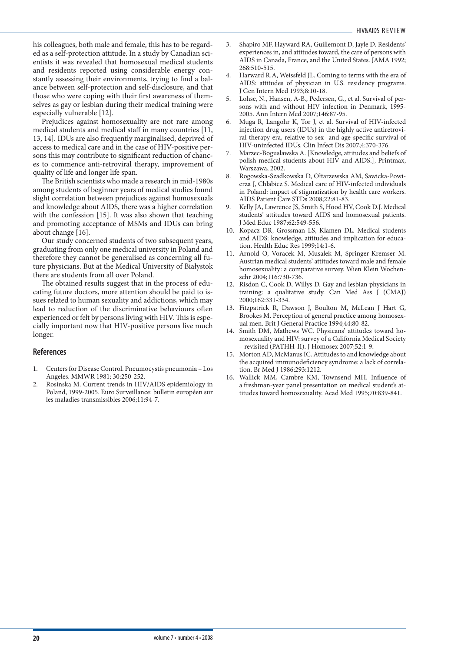his colleagues, both male and female, this has to be regarded as a self-protection attitude. In a study by Canadian scientists it was revealed that homosexual medical students and residents reported using considerable energy constantly assessing their environments, trying to find a balance between self-protection and self-disclosure, and that those who were coping with their first awareness of themselves as gay or lesbian during their medical training were especially vulnerable [12].

Prejudices against homosexuality are not rare among medical students and medical staff in many countries [11, 13, 14]. IDUs are also frequently marginalised, deprived of access to medical care and in the case of HIV-positive persons this may contribute to significant reduction of chances to commence anti-retroviral therapy, improvement of quality of life and longer life span.

The British scientists who made a research in mid-1980s among students of beginner years of medical studies found slight correlation between prejudices against homosexuals and knowledge about AIDS, there was a higher correlation with the confession [15]. It was also shown that teaching and promoting acceptance of MSMs and IDUs can bring about change [16].

Our study concerned students of two subsequent years, graduating from only one medical university in Poland and therefore they cannot be generalised as concerning all future physicians. But at the Medical University of Białystok there are students from all over Poland.

The obtained results suggest that in the process of educating future doctors, more attention should be paid to issues related to human sexuality and addictions, which may lead to reduction of the discriminative behaviours often experienced or felt by persons living with HIV. This is especially important now that HIV-positive persons live much longer.

- 1. Centers for Disease Control. Pneumocystis pneumonia Los Angeles. MMWR 1981; 30:250-252.
- 2. Rosinska M. Current trends in HIV/AIDS epidemiology in Poland, 1999-2005. Euro Surveillance: bulletin européen sur les maladies transmissibles 2006;11:94-7.
- 3. Shapiro MF, Hayward RA, Guillemont D, Jayle D. Residents' experiences in, and attitudes toward, the care of persons with AIDS in Canada, France, and the United States. JAMA 1992; 268:510-515.
- Harward R.A, Weissfeld JL. Coming to terms with the era of AIDS: attitudes of physician in U.S. residency programs. J Gen Intern Med 1993;8:10-18.
- 5. Lohse, N., Hansen, A-B., Pedersen, G., et al. Survival of persons with and without HIV infection in Denmark, 1995-2005. Ann Intern Med 2007;146:87-95.
- 6. Muga R, Langohr K, Tor J, et al. Survival of HIV-infected injection drug users (IDUs) in the highly active antiretroviral therapy era, relative to sex- and age-specific survival of HIV-uninfected IDUs. Clin Infect Dis 2007;4:370-376.
- Marzec-Bogusławska A. [Knowledge, attitudes and beliefs of polish medical students about HIV and AIDS.], Printmax, Warszawa, 2002.
- 8. Rogowska-Szadkowska D, Ołtarzewska AM, Sawicka-Powierza J, Chlabicz S. Medical care of HIV-infected individuals in Poland: impact of stigmatization by health care workers. AIDS Patient Care STDs 2008;22:81-83.
- Kelly JA, Lawrence JS, Smith S, Hood HV, Cook D.J. Medical students' attitudes toward AIDS and homosexual patients. J Med Educ 1987;62:549-556.
- 10. Kopacz DR, Grossman LS, Klamen DL. Medical students and AIDS: knowledge, attitudes and implication for education. Health Educ Res 1999;14:1-6.
- 11. Arnold O, Voracek M, Musalek M, Springer-Kremser M. Austrian medical students' attitudes toward male and female homosexuality: a comparative survey. Wien Klein Wochenschr 2004;116:730-736.
- 12. Risdon C, Cook D, Willys D. Gay and lesbian physicians in training: a qualitative study. Can Med Ass J (CMAJ) 2000;162:331-334.
- 13. Fitzpatrick R, Dawson J, Boulton M, McLean J Hart G, Brookes M. Perception of general practice among homosexual men. Brit J General Practice 1994;44:80-82.
- 14. Smith DM, Mathews WC. Physicans' attitudes toward homosexuality and HIV: survey of a California Medical Society – revisited (PATHH-II). J Homosex 2007;52:1-9.
- 15. Morton AD, McManus IC. Attitudes to and knowledge about the acquired immunodeficiency syndrome: a lack of correlation. Br Med J 1986;293:1212.
- 16. Wallick MM, Cambre KM, Townsend MH. Influence of a freshman-year panel presentation on medical student's attitudes toward homosexuality. Acad Med 1995;70:839-841.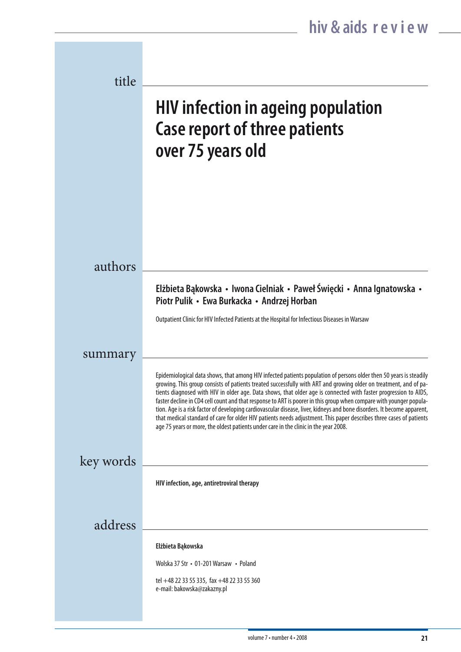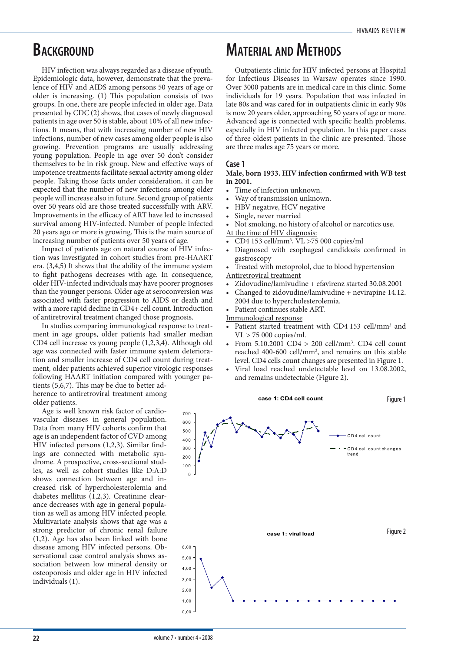### **BACKGROUND**

HIV infection was always regarded as a disease of youth. Epidemiologic data, however, demonstrate that the prevalence of HIV and AIDS among persons 50 years of age or older is increasing. (1) This population consists of two groups. In one, there are people infected in older age. Data presented by CDC (2) shows, that cases of newly diagnosed patients in age over 50 is stable, about 10% of all new infections. It means, that with increasing number of new HIV infections, number of new cases among older people is also growing. Prevention programs are usually addressing young population. People in age over 50 don't consider themselves to be in risk group. New and effective ways of impotence treatments facilitate sexual activity among older people. Taking those facts under consideration, it can be expected that the number of new infections among older people will increase also in future. Second group of patients over 50 years old are those treated successfully with ARV. Improvements in the efficacy of ART have led to increased survival among HIV-infected. Number of people infected 20 years ago or more is growing. This is the main source of increasing number of patients over 50 years of age.

Impact of patients age on natural course of HIV infection was investigated in cohort studies from pre-HAART era. (3,4,5) It shows that the ability of the immune system to fight pathogens decreases with age. In consequence, older HIV-infected individuals may have poorer prognoses than the younger persons. Older age at seroconversion was associated with faster progression to AIDS or death and with a more rapid decline in CD4+ cell count. Introduction of antiretroviral treatment changed those prognosis.

In studies comparing immunological response to treatment in age groups, older patients had smaller median CD4 cell increase vs young people (1,2,3,4). Although old age was connected with faster immune system deterioration and smaller increase of CD4 cell count during treatment, older patients achieved superior virologic responses following HAART initiation compared with younger pa-

tients (5,6,7). This may be due to better adherence to antiretroviral treatment among older patients.

Age is well known risk factor of cardiovascular diseases in general population. Data from many HIV cohorts confirm that age is an independent factor of CVD among HIV infected persons (1,2,3). Similar findings are connected with metabolic syndrome. A prospective, cross-sectional studies, as well as cohort studies like D:A:D shows connection between age and increased risk of hypercholesterolemia and diabetes mellitus (1,2,3). Creatinine clearance decreases with age in general population as well as among HIV infected people. Multivariate analysis shows that age was a strong predictor of chronic renal failure (1,2). Age has also been linked with bone disease among HIV infected persons. Observational case control analysis shows association between low mineral density or osteoporosis and older age in HIV infected individuals (1).

### **Material and Methods**

Outpatients clinic for HIV infected persons at Hospital for Infectious Diseases in Warsaw operates since 1990. Over 3000 patients are in medical care in this clinic. Some individuals for 19 years. Population that was infected in late 80s and was cared for in outpatients clinic in early 90s is now 20 years older, approaching 50 years of age or more. Advanced age is connected with specific health problems, especially in HIV infected population. In this paper cases of three oldest patients in the clinic are presented. Those are three males age 75 years or more.

#### **Case 1**

#### **Male, born 1933. HIV infection confirmed with WB test in 2001.**

- Time of infection unknown.
- Way of transmission unknown.
- HBV negative, HCV negative
- Single, never married
- Not smoking, no history of alcohol or narcotics use.

At the time of HIV diagnosis:

- CD4 153 cell/mm3 , VL >75 000 copies/ml
- Diagnosed with esophageal candidosis confirmed in gastroscopy

• Treated with metoprolol, due to blood hypertension Antiretroviral treatment

- Zidovudine/lamivudine + efavirenz started 30.08.2001
- Changed to zidovudine/lamivudine + nevirapine 14.12. 2004 due to hypercholesterolemia. • Patient continues stable ART.

Immunological response

- Patient started treatment with CD4 153 cell/mm<sup>3</sup> and VL > 75 000 copies/ml.
- From  $5.10.2001$  CD4  $> 200$  cell/mm<sup>3</sup>. CD4 cell count reached 400-600 cell/mm<sup>3</sup>, and remains on this stable level. CD4 cells count changes are presented in Figure 1.
- Viral load reached undetectable level on 13.08.2002, and remains undetectable (Figure 2).

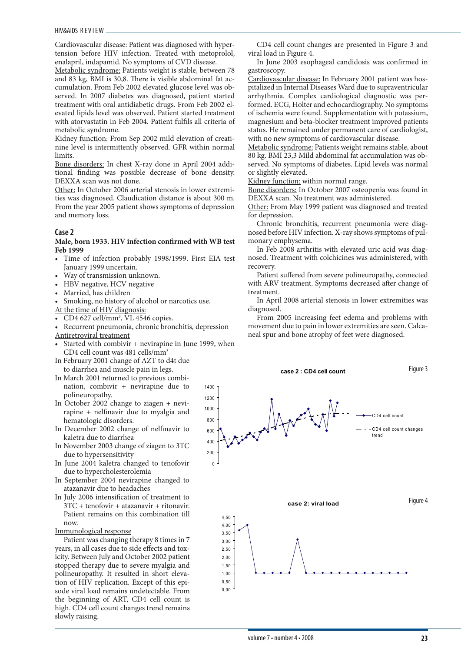Cardiovascular disease: Patient was diagnosed with hypertension before HIV infection. Treated with metoprolol, enalapril, indapamid. No symptoms of CVD disease.

Metabolic syndrome: Patients weight is stable, between 78 and 83 kg, BMI is 30,8. There is visible abdominal fat accumulation. From Feb 2002 elevated glucose level was observed. In 2007 diabetes was diagnosed, patient started treatment with oral antidiabetic drugs. From Feb 2002 elevated lipids level was observed. Patient started treatment with atorvastatin in Feb 2004. Patient fulfils all criteria of metabolic syndrome.

Kidney function: From Sep 2002 mild elevation of creatinine level is intermittently observed. GFR within normal limits.

Bone disorders: In chest X-ray done in April 2004 additional finding was possible decrease of bone density. DEXXA scan was not done.

Other: In October 2006 arterial stenosis in lower extremities was diagnosed. Claudication distance is about 300 m. From the year 2005 patient shows symptoms of depression and memory loss.

#### **Case 2**

#### **Male, born 1933. HIV infection confirmed with WB test Feb 1999**

- Time of infection probably 1998/1999. First EIA test January 1999 uncertain.
- Way of transmission unknown.
- HBV negative, HCV negative
- Married, has children
- Smoking, no history of alcohol or narcotics use.
- At the time of HIV diagnosis:
- CD4 627 cell/mm<sup>3</sup>, VL 4546 copies.
- Recurrent pneumonia, chronic bronchitis, depression Antiretroviral treatment
- Started with combivir + nevirapine in June 1999, when CD4 cell count was 481 cells/mm<sup>3</sup>
- In February 2001 change of AZT to d4t due to diarrhea and muscle pain in legs.
- In March 2001 returned to previous combination, combivir + nevirapine due to polineuropathy.
- In October 2002 change to ziagen + nevirapine + nelfinavir due to myalgia and hematologic disorders.
- In December 2002 change of nelfinavir to kaletra due to diarrhea
- In November 2003 change of ziagen to 3TC due to hypersensitivity
- In June 2004 kaletra changed to tenofovir due to hypercholesterolemia
- In September 2004 nevirapine changed to atazanavir due to headaches
- In July 2006 intensification of treatment to 3TC + tenofovir + atazanavir + ritonavir. Patient remains on this combination till now.
- Immunological response

Patient was changing therapy 8 times in 7 years, in all cases due to side effects and toxicity. Between July and October 2002 patient stopped therapy due to severe myalgia and polineuropathy. It resulted in short elevation of HIV replication. Except of this episode viral load remains undetectable. From the beginning of ART, CD4 cell count is high. CD4 cell count changes trend remains slowly raising.

CD4 cell count changes are presented in Figure 3 and viral load in Figure 4.

In June 2003 esophageal candidosis was confirmed in gastroscopy.

Cardiovascular disease: In February 2001 patient was hospitalized in Internal Diseases Ward due to supraventricular arrhythmia. Complex cardiological diagnostic was performed. ECG, Holter and echocardiography. No symptoms of ischemia were found. Supplementation with potassium, magnesium and beta-blocker treatment improved patients status. He remained under permanent care of cardiologist, with no new symptoms of cardiovascular disease.

Metabolic syndrome: Patients weight remains stable, about 80 kg. BMI 23,3 Mild abdominal fat accumulation was observed. No symptoms of diabetes. Lipid levels was normal or slightly elevated.

Kidney function: within normal range.

Bone disorders: In October 2007 osteopenia was found in DEXXA scan. No treatment was administered.

Other: From May 1999 patient was diagnosed and treated for depression.

Chronic bronchitis, recurrent pneumonia were diagnosed before HIV infection. X-ray shows symptoms of pulmonary emphysema.

In Feb 2008 arthritis with elevated uric acid was diagnosed. Treatment with colchicines was administered, with recovery.

Patient suffered from severe polineuropathy, connected with ARV treatment. Symptoms decreased after change of treatment.

In April 2008 arterial stenosis in lower extremities was diagnosed.

From 2005 increasing feet edema and problems with movement due to pain in lower extremities are seen. Calcaneal spur and bone atrophy of feet were diagnosed.

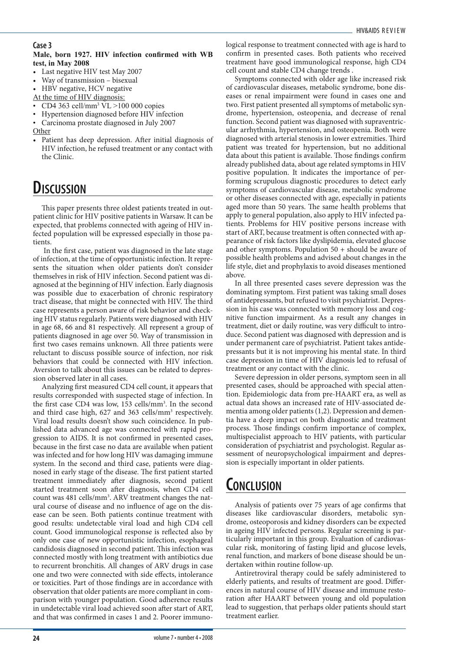#### **Case 3**

#### **Male, born 1927. HIV infection confirmed with WB test, in May 2008**

- Last negative HIV test May 2007
- Way of transmission bisexual
- HBV negative, HCV negative

At the time of HIV diagnosis:

- CD4 363 cell/mm<sup>3</sup> VL >100 000 copies
- Hypertension diagnosed before HIV infection
- Carcinoma prostate diagnosed in July 2007
- Other
- Patient has deep depression. After initial diagnosis of HIV infection, he refused treatment or any contact with the Clinic.

### **Discussion**

This paper presents three oldest patients treated in outpatient clinic for HIV positive patients in Warsaw. It can be expected, that problems connected with ageing of HIV infected population will be expressed especially in those patients.

 In the first case, patient was diagnosed in the late stage of infection, at the time of opportunistic infection. It represents the situation when older patients don't consider themselves in risk of HIV infection. Second patient was diagnosed at the beginning of HIV infection. Early diagnosis was possible due to exacerbation of chronic respiratory tract disease, that might be connected with HIV. The third case represents a person aware of risk behavior and checking HIV status regularly. Patients were diagnosed with HIV in age 68, 66 and 81 respectively. All represent a group of patients diagnosed in age over 50. Way of transmission in first two cases remains unknown. All three patients were reluctant to discuss possible source of infection, nor risk behaviors that could be connected with HIV infection. Aversion to talk about this issues can be related to depression observed later in all cases.

Analyzing first measured CD4 cell count, it appears that results corresponded with suspected stage of infection. In the first case CD4 was low, 153 cells/mm<sup>3</sup>. In the second and third case high, 627 and 363 cells/mm<sup>3</sup> respectively. Viral load results doesn't show such coincidence. In published data advanced age was connected with rapid progression to AIDS. It is not confirmed in presented cases, because in the first case no data are available when patient was infected and for how long HIV was damaging immune system. In the second and third case, patients were diagnosed in early stage of the disease. The first patient started treatment immediately after diagnosis, second patient started treatment soon after diagnosis, when CD4 cell count was 481 cells/mm<sup>3</sup>. ARV treatment changes the natural course of disease and no influence of age on the disease can be seen. Both patients continue treatment with good results: undetectable viral load and high CD4 cell count. Good immunological response is reflected also by only one case of new opportunistic infection, esophageal candidosis diagnosed in second patient. This infection was connected mostly with long treatment with antibiotics due to recurrent bronchitis. All changes of ARV drugs in case one and two were connected with side effects, intolerance or toxicities. Part of those findings are in accordance with observation that older patients are more compliant in comparison with younger population. Good adherence results in undetectable viral load achieved soon after start of ART, and that was confirmed in cases 1 and 2. Poorer immunological response to treatment connected with age is hard to confirm in presented cases. Both patients who received treatment have good immunological response, high CD4 cell count and stable CD4 change trends .

Symptoms connected with older age like increased risk of cardiovascular diseases, metabolic syndrome, bone diseases or renal impairment were found in cases one and two. First patient presented all symptoms of metabolic syndrome, hypertension, osteopenia, and decrease of renal function. Second patient was diagnosed with supraventricular arrhythmia, hypertension, and osteopenia. Both were diagnosed with arterial stenosis in lower extremities. Third patient was treated for hypertension, but no additional data about this patient is available. Those findings confirm already published data, about age related symptoms in HIV positive population. It indicates the importance of performing scrupulous diagnostic procedures to detect early symptoms of cardiovascular disease, metabolic syndrome or other diseases connected with age, especially in patients aged more than 50 years. The same health problems that apply to general population, also apply to HIV infected patients. Problems for HIV positive persons increase with start of ART, because treatment is often connected with appearance of risk factors like dyslipidemia, elevated glucose and other symptoms. Population 50 + should be aware of possible health problems and advised about changes in the life style, diet and prophylaxis to avoid diseases mentioned above.

In all three presented cases severe depression was the dominating symptom. First patient was taking small doses of antidepressants, but refused to visit psychiatrist. Depression in his case was connected with memory loss and cognitive function impairment. As a result any changes in treatment, diet or daily routine, was very difficult to introduce. Second patient was diagnosed with depression and is under permanent care of psychiatrist. Patient takes antidepressants but it is not improving his mental state. In third case depression in time of HIV diagnosis led to refusal of treatment or any contact with the clinic.

Severe depression in older persons, symptom seen in all presented cases, should be approached with special attention. Epidemiologic data from pre-HAART era, as well as actual data shows an increased rate of HIV-associated dementia among older patients (1,2). Depression and dementia have a deep impact on both diagnostic and treatment process. Those findings confirm importance of complex, multispecialist approach to HIV patients, with particular consideration of psychiatrist and psychologist. Regular assessment of neuropsychological impairment and depression is especially important in older patients.

### **Conclusion**

Analysis of patients over 75 years of age confirms that diseases like cardiovascular disorders, metabolic syndrome, osteoporosis and kidney disorders can be expected in ageing HIV infected persons. Regular screening is particularly important in this group. Evaluation of cardiovascular risk, monitoring of fasting lipid and glucose levels, renal function, and markers of bone disease should be undertaken within routine follow-up.

Antiretroviral therapy could be safely administered to elderly patients, and results of treatment are good. Differences in natural course of HIV disease and immune restoration after HAART between young and old population lead to suggestion, that perhaps older patients should start treatment earlier.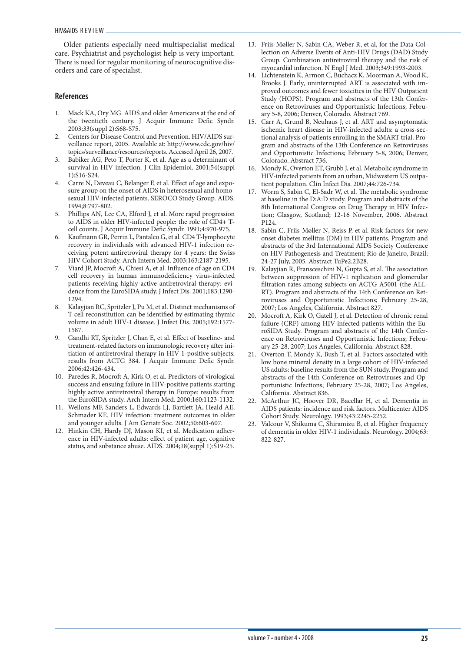Older patients especially need multispecialist medical care. Psychiatrist and psychologist help is very important. There is need for regular monitoring of neurocognitive disorders and care of specialist.

- 1. Mack KA, Ory MG. AIDS and older Americans at the end of the twentieth century. J Acquir Immune Defic Syndr. 2003;33(suppl 2):S68-S75.
- 2. Centers for Disease Control and Prevention. HIV/AIDS surveillance report, 2005. Available at: http://www.cdc.gov/hiv/ topics/surveillance/resources/reports. Accessed April 26, 2007.
- 3. Babiker AG, Peto T, Porter K, et al. Age as a determinant of survival in HIV infection. J Clin Epidemiol. 2001;54(suppl 1):S16-S24.
- 4. Carre N, Deveau C, Belanger F, et al. Effect of age and exposure group on the onset of AIDS in heterosexual and homosexual HIV-infected patients. SEROCO Study Group. AIDS. 1994;8:797-802.
- 5. Phillips AN, Lee CA, Elford J, et al. More rapid progression to AIDS in older HIV-infected people: the role of CD4+ Tcell counts. J Acquir Immune Defic Syndr. 1991;4:970-975.
- 6. Kaufmann GR, Perrin L, Pantaleo G, et al. CD4 T-lymphocyte recovery in individuals with advanced HIV-1 infection receiving potent antiretroviral therapy for 4 years: the Swiss HIV Cohort Study. Arch Intern Med. 2003;163:2187-2195.
- Viard JP, Mocroft A, Chiesi A, et al. Influence of age on CD4 cell recovery in human immunodeficiency virus-infected patients receiving highly active antiretroviral therapy: evidence from the EuroSIDA study. J Infect Dis. 2001;183:1290- 1294.
- 8. Kalayjian RC, Spritzler J, Pu M, et al. Distinct mechanisms of T cell reconstitution can be identified by estimating thymic volume in adult HIV-1 disease. J Infect Dis. 2005;192:1577- 1587.
- 9. Gandhi RT, Spritzler J, Chan E, et al. Effect of baseline- and treatment-related factors on immunologic recovery after initiation of antiretroviral therapy in HIV-1-positive subjects: results from ACTG 384. J Acquir Immune Defic Syndr. 2006;42:426-434.
- 10. Paredes R, Mocroft A, Kirk O, et al. Predictors of virological success and ensuing failure in HIV-positive patients starting highly active antiretroviral therapy in Europe: results from the EuroSIDA study. Arch Intern Med. 2000;160:1123-1132.
- 11. Wellons MF, Sanders L, Edwards LJ, Bartlett JA, Heald AE, Schmader KE. HIV infection: treatment outcomes in older and younger adults. J Am Geriatr Soc. 2002;50:603-607.
- 12. Hinkin CH, Hardy DJ, Mason KI, et al. Medication adherence in HIV-infected adults: effect of patient age, cognitive status, and substance abuse. AIDS. 2004;18(suppl 1):S19-25.
- 13. Friis-Møller N, Sabin CA, Weber R, et al, for the Data Collection on Adverse Events of Anti-HIV Drugs (DAD) Study Group. Combination antiretroviral therapy and the risk of myocardial infarction. N Engl J Med. 2003;349:1993-2003.
- 14. Lichtenstein K, Armon C, Buchacz K, Moorman A, Wood K, Brooks J. Early, uninterrupted ART is associated with improved outcomes and fewer toxicities in the HIV Outpatient Study (HOPS). Program and abstracts of the 13th Conference on Retroviruses and Opportunistic Infections; February 5-8, 2006; Denver, Colorado. Abstract 769.
- 15. Carr A, Grund B, Neuhaus J, et al. ART and asymptomatic ischemic heart disease in HIV-infected adults: a cross-sectional analysis of patients enrolling in the SMART trial. Program and abstracts of the 13th Conference on Retroviruses and Opportunistic Infections; February 5-8, 2006; Denver, Colorado. Abstract 736.
- 16. Mondy K, Overton ET, Grubb J, et al. Metabolic syndrome in HIV-infected patients from an urban, Midwestern US outpatient population. Clin Infect Dis. 2007;44:726-734.
- 17. Worm S, Sabin C, El-Sadr W, et al. The metabolic syndrome at baseline in the D:A:D study. Program and abstracts of the 8th International Congress on Drug Therapy in HIV Infection; Glasgow, Scotland; 12-16 November, 2006. Abstract P124.
- 18. Sabin C, Friis-Møller N, Reiss P, et al. Risk factors for new onset diabetes mellitus (DM) in HIV patients. Program and abstracts of the 3rd International AIDS Society Conference on HIV Pathogenesis and Treatment; Rio de Janeiro, Brazil; 24-27 July, 2005. Abstract TuPe2.2B28.
- 19. Kalayjian R, Fransceschini N, Gupta S, et al. The association between suppression of HIV-1 replication and glomerular filtration rates among subjects on ACTG A5001 (the ALL-RT). Program and abstracts of the 14th Conference on Retroviruses and Opportunistic Infections; February 25-28, 2007; Los Angeles, California. Abstract 827.
- 20. Mocroft A, Kirk O, Gatell J, et al. Detection of chronic renal failure (CRF) among HIV-infected patients within the EuroSIDA Study. Program and abstracts of the 14th Conference on Retroviruses and Opportunistic Infections; February 25-28, 2007; Los Angeles, California. Abstract 828.
- 21. Overton T, Mondy K, Bush T, et al. Factors associated with low bone mineral density in a large cohort of HIV-infected US adults: baseline results from the SUN study. Program and abstracts of the 14th Conference on Retroviruses and Opportunistic Infections; February 25-28, 2007; Los Angeles, California. Abstract 836.
- 22. McArthur JC, Hoover DR, Bacellar H, et al. Dementia in AIDS patients: incidence and risk factors. Multicenter AIDS Cohort Study. Neurology. 1993;43:2245-2252.
- 23. Valcour V, Shikuma C, Shiramizu B, et al. Higher frequency of dementia in older HIV-1 individuals. Neurology. 2004;63: 822-827.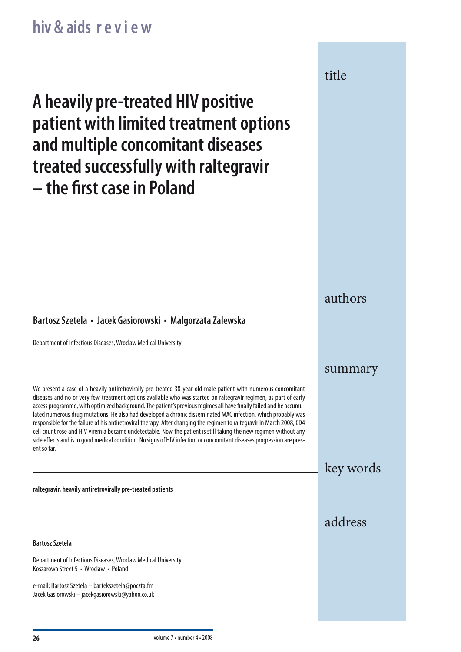**A heavily pre-treated HIV positive patient with limited treatment options and multiple concomitant diseases treated successfully with raltegravir – the first case in Poland** authors **Bartosz Szetela**  Department of Infectious Diseases, Wroclaw Medical University Koszarowa Street 5 • Wroclaw • Poland e-mail: Bartosz Szetela – bartekszetela@poczta.fm Jacek Gasiorowski – jacekgasiorowski@yahoo.co.uk summary **Bartosz Szetela • Jacek Gasiorowski • Malgorzata Zalewska** Department of Infectious Diseases, Wroclaw Medical University We present a case of a heavily antiretrovirally pre-treated 38-year old male patient with numerous concomitant diseases and no or very few treatment options available who was started on raltegravir regimen, as part of early access programme, with optimized background. The patient's previous regimes all have finally failed and he accumulated numerous drug mutations. He also had developed a chronic disseminated MAC infection, which probably was responsible for the failure of his antiretroviral therapy. After changing the regimen to raltegravir in March 2008, CD4 cell count rose and HIV viremia became undetectable. Now the patient is still taking the new regimen without any side effects and is in good medical condition. No signs of HIV infection or concomitant diseases progression are present so far. key words **raltegravir, heavily antiretrovirally pre-treated patients** title address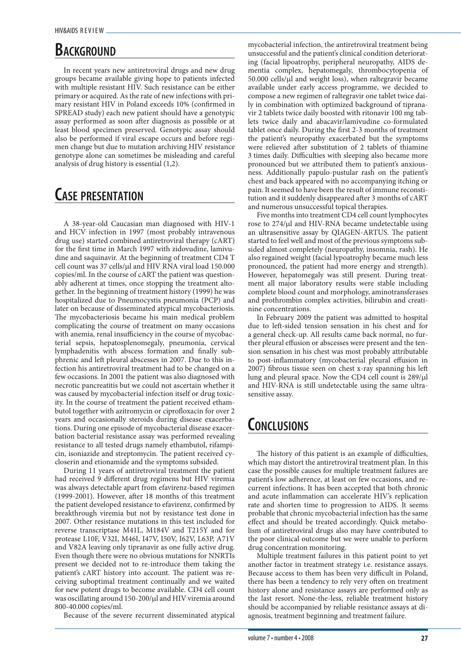### **BACKGROUND**

In recent years new antiretroviral drugs and new drug groups became available giving hope to patients infected with multiple resistant HIV. Such resistance can be either primary or acquired. As the rate of new infections with primary resistant HIV in Poland exceeds 10% (confirmed in SPREAD study) each new patient should have a genotypic assay performed as soon after diagnosis as possible or at least blood specimen preserved. Genotypic assay should also be performed if viral escape occurs and before regimen change but due to mutation archiving HIV resistance genotype alone can sometimes be misleading and careful analysis of drug history is essential (1,2).

### **Case presentation**

A 38-year-old Caucasian man diagnosed with HIV-1 and HCV infection in 1997 (most probably intravenous drug use) started combined antiretroviral therapy (cART) for the first time in March 1997 with zidovudine, lamivudine and saquinavir. At the beginning of treatment CD4 T cell count was 37 cells/µl and HIV RNA viral load 150.000 copies/ml. In the course of cART the patient was questionably adherent at times, once stopping the treatment altogether. In the beginning of treatment history (1999) he was hospitalized due to Pneumocystis pneumonia (PCP) and later on because of disseminated atypical mycobacteriosis. The mycobacteriosis became his main medical problem complicating the course of treatment on many occasions with anemia, renal insufficiency in the course of mycobacterial sepsis, hepatosplenomegaly, pneumonia, cervical lymphadenitis with abscess formation and finally subphrenic and left pleural abscesses in 2007. Due to this infection his antiretroviral treatment had to be changed on a few occasions. In 2001 the patient was also diagnosed with necrotic pancreatitis but we could not ascertain whether it was caused by mycobacterial infection itself or drug toxicity. In the course of treatment the patient received ethambutol together with azitromycin or ciprofloxacin for over 2 years and occasionally steroids during disease exacerbations. During one episode of mycobacterial disease exacerbation bacterial resistance assay was performed revealing resistance to all tested drugs namely ethambutol, rifampicin, isoniazide and streptomycin. The patient received cycloserin and etionamide and the symptoms subsided.

During 11 years of antiretroviral treatment the patient had received 9 different drug regimens but HIV viremia was always detectable apart from efavirenz-based regimen (1999-2001). However, after 18 months of this treatment the patient developed resistance to efavirenz, confirmed by breakthrough viremia but not by resistance test done in 2007. Other resistance mutations in this test included for reverse transcriptase M41L, M184V and T215Y and for protease L10F, V32I, M46I, I47V, I50V, I62V, L63P, A71V and V82A leaving only tipranavir as one fully active drug. Even though there were no obvious mutations for NNRTIs present we decided not to re-introduce them taking the patient's cART history into account. The patient was receiving suboptimal treatment continually and we waited for new potent drugs to become available. CD4 cell count was oscillating around 150-200/µl and HIV viremia around 800-40.000 copies/ml.

Because of the severe recurrent disseminated atypical

mycobacterial infection, the antiretroviral treatment being unsuccessful and the patient's clinical condition deteriorating (facial lipoatrophy, peripheral neuropathy, AIDS dementia complex, hepatomegaly, thrombocytopenia of  $50.000$  cells/ $\mu$ l and weight loss), when raltegravir became available under early access programme, we decided to compose a new regimen of raltegravir one tablet twice daily in combination with optimized background of tipranavir 2 tablets twice daily boosted with ritonavir 100 mg tablets twice daily and abacavir/lamivudine co-formulated tablet once daily. During the first 2-3 months of treatment the patient's neuropathy exacerbated but the symptoms were relieved after substitution of 2 tablets of thiamine 3 times daily. Difficulties with sleeping also became more pronounced but we attributed them to patient's anxiousness. Additionally papulo-pustular rash on the patient's chest and back appeared with no accompanying itching or pain. It seemed to have been the result of immune reconstitution and it suddenly disappeared after 3 months of cART and numerous unsuccessful topical therapies.

Five months into treatment CD4 cell count lymphocytes rose to 274/µl and HIV-RNA became undetectable using an ultrasensitive assay by QIAGEN-ARTUS. The patient started to feel well and most of the previous symptoms subsided almost completely (neuropathy, insomnia, rash). He also regained weight (facial lypoatrophy became much less pronounced, the patient had more energy and strength). However, hepatomegaly was still present. During treatment all major laboratory results were stable including complete blood count and morphology, aminotransferases and prothrombin complex activities, bilirubin and creatinine concentrations.

In February 2009 the patient was admitted to hospital due to left-sided tension sensation in his chest and for a general check-up. All results came back normal, no further pleural effusion or abscesses were present and the tension sensation in his chest was most probably attributable to post-inflammatory (mycobacterial pleural effusion in 2007) fibrous tissue seen on chest x-ray spanning his left lung and pleural space. Now the CD4 cell count is 289/µl and HIV-RNA is still undetectable using the same ultrasensitive assay.

### **Conclusions**

The history of this patient is an example of difficulties, which may distort the antiretroviral treatment plan. In this case the possible causes for multiple treatment failures are patient's low adherence, at least on few occasions, and recurrent infections. It has been accepted that both chronic and acute inflammation can accelerate HIV's replication rate and shorten time to progression to AIDS. It seems probable that chronic mycobacterial infection has the same effect and should be treated accordingly. Quick metabolism of antiretroviral drugs also may have contributed to the poor clinical outcome but we were unable to perform drug concentration monitoring.

Multiple treatment failures in this patient point to yet another factor in treatment strategy i.e. resistance assays. Because access to them has been very difficult in Poland, there has been a tendency to rely very often on treatment history alone and resistance assays are performed only as the last resort. None-the-less, reliable treatment history should be accompanied by reliable resistance assays at diagnosis, treatment beginning and treatment failure.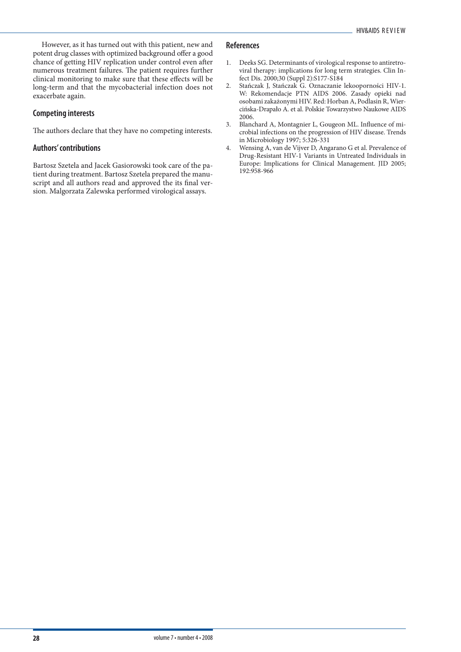However, as it has turned out with this patient, new and potent drug classes with optimized background offer a good chance of getting HIV replication under control even after numerous treatment failures. The patient requires further clinical monitoring to make sure that these effects will be long-term and that the mycobacterial infection does not exacerbate again.

#### **Competing interests**

The authors declare that they have no competing interests.

#### **Authors' contributions**

Bartosz Szetela and Jacek Gasiorowski took care of the patient during treatment. Bartosz Szetela prepared the manuscript and all authors read and approved the its final version. Malgorzata Zalewska performed virological assays.

- 1. Deeks SG. Determinants of virological response to antiretroviral therapy: implications for long term strategies. Clin Infect Dis. 2000;30 (Suppl 2):S177-S184
- 2. Stańczak J, Stańczak G. Oznaczanie lekooporności HIV-1. W: Rekomendacje PTN AIDS 2006. Zasady opieki nad osobami zakażonymi HIV. Red: Horban A, Podlasin R, Wiercińska-Drapało A. et al. Polskie Towarzystwo Naukowe AIDS 2006.
- 3. Blanchard A, Montagnier L, Gougeon ML. Influence of microbial infections on the progression of HIV disease. Trends in Microbiology 1997; 5:326-331
- 4. Wensing A, van de Vijver D, Angarano G et al. Prevalence of Drug-Resistant HIV-1 Variants in Untreated Individuals in Europe: Implications for Clinical Management. JID 2005; 192:958-966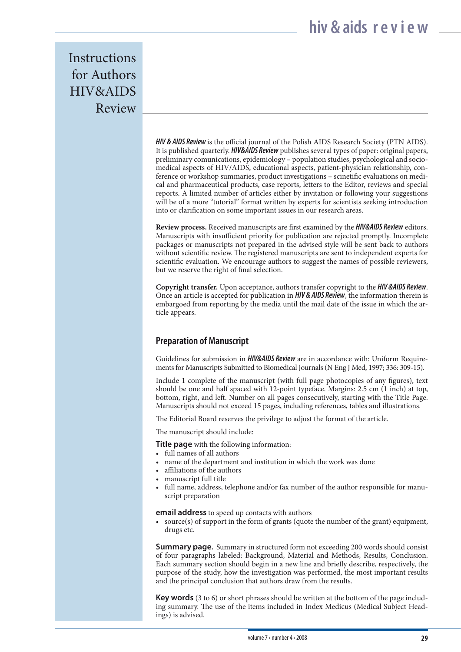**Instructions** for Authors HIV&AIDS Review

> *HIV & AIDS Review* is the official journal of the Polish AIDS Research Society (PTN AIDS). It is published quarterly. *HIV&AIDS Review* publishes several types of paper: original papers, preliminary comunications, epidemiology – population studies, psychological and sociomedical aspects of HIV/AIDS, educational aspects, patient-physician relationship, conference or workshop summaries, product investigations – scinetific evaluations on medical and pharmaceutical products, case reports, letters to the Editor, reviews and special reports. A limited number of articles either by invitation or following your suggestions will be of a more "tutorial" format written by experts for scientists seeking introduction into or clarification on some important issues in our research areas.

> **Review process.** Received manuscripts are first examined by the *HIV&AIDS Review* editors. Manuscripts with insufficient priority for publication are rejected promptly. Incomplete packages or manuscripts not prepared in the advised style will be sent back to authors without scientific review. The registered manuscripts are sent to independent experts for scientific evaluation. We encourage authors to suggest the names of possible reviewers, but we reserve the right of final selection.

> **Copyright transfer.** Upon acceptance, authors transfer copyright to the *HIV &AIDS Review*. Once an article is accepted for publication in *HIV & AIDS Review*, the information therein is embargoed from reporting by the media until the mail date of the issue in which the article appears.

### **Preparation of Manuscript**

Guidelines for submission in *HIV&AIDS Review* are in accordance with: Uniform Requirements for Manuscripts Submitted to Biomedical Journals (N Eng J Med, 1997; 336: 309-15).

Include 1 complete of the manuscript (with full page photocopies of any figures), text should be one and half spaced with 12-point typeface. Margins: 2.5 cm (1 inch) at top, bottom, right, and left. Number on all pages consecutively, starting with the Title Page. Manuscripts should not exceed 15 pages, including references, tables and illustrations.

The Editorial Board reserves the privilege to adjust the format of the article.

The manuscript should include:

**Title page** with the following information:

- full names of all authors
- name of the department and institution in which the work was done
- affiliations of the authors
- manuscript full title
- full name, address, telephone and/or fax number of the author responsible for manuscript preparation

**email address** to speed up contacts with authors

• source(s) of support in the form of grants (quote the number of the grant) equipment, drugs etc.

**Summary page.** Summary in structured form not exceeding 200 words should consist of four paragraphs labeled: Background, Material and Methods, Results, Conclusion. Each summary section should begin in a new line and briefly describe, respectively, the purpose of the study, how the investigation was performed, the most important results and the principal conclusion that authors draw from the results.

**Key words** (3 to 6) or short phrases should be written at the bottom of the page including summary. The use of the items included in Index Medicus (Medical Subject Headings) is advised.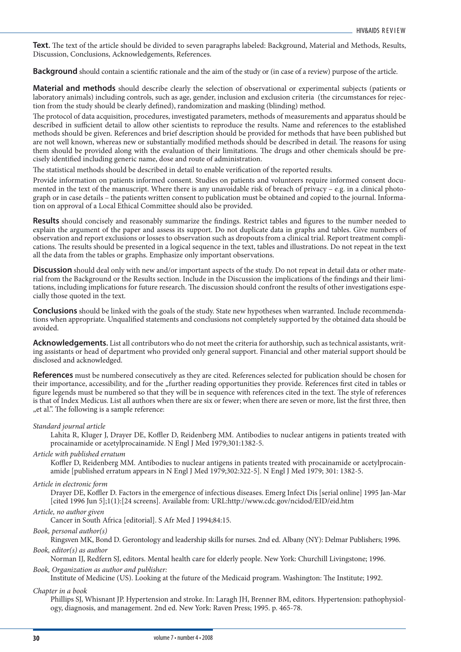**Text.** The text of the article should be divided to seven paragraphs labeled: Background, Material and Methods, Results, Discussion, Conclusions, Acknowledgements, References.

**Background** should contain a scientific rationale and the aim of the study or (in case of a review) purpose of the article.

**Material and methods** should describe clearly the selection of observational or experimental subjects (patients or laboratory animals) including controls, such as age, gender, inclusion and exclusion criteria (the circumstances for rejection from the study should be clearly defined), randomization and masking (blinding) method.

The protocol of data acquisition, procedures, investigated parameters, methods of measurements and apparatus should be described in sufficient detail to allow other scientists to reproduce the results. Name and references to the established methods should be given. References and brief description should be provided for methods that have been published but are not well known, whereas new or substantially modified methods should be described in detail. The reasons for using them should be provided along with the evaluation of their limitations. The drugs and other chemicals should be precisely identified including generic name, dose and route of administration.

The statistical methods should be described in detail to enable verification of the reported results.

Provide information on patients informed consent. Studies on patients and volunteers require informed consent documented in the text of the manuscript. Where there is any unavoidable risk of breach of privacy  $-$  e.g. in a clinical photograph or in case details – the patients written consent to publication must be obtained and copied to the journal. Information on approval of a Local Ethical Committee should also be provided.

**Results** should concisely and reasonably summarize the findings. Restrict tables and figures to the number needed to explain the argument of the paper and assess its support. Do not duplicate data in graphs and tables. Give numbers of observation and report exclusions or losses to observation such as dropouts from a clinical trial. Report treatment complications. The results should be presented in a logical sequence in the text, tables and illustrations. Do not repeat in the text all the data from the tables or graphs. Emphasize only important observations.

**Discussion** should deal only with new and/or important aspects of the study. Do not repeat in detail data or other material from the Background or the Results section. Include in the Discussion the implications of the findings and their limitations, including implications for future research. The discussion should confront the results of other investigations especially those quoted in the text.

**Conclusions** should be linked with the goals of the study. State new hypotheses when warranted. Include recommendations when appropriate. Unqualified statements and conclusions not completely supported by the obtained data should be avoided.

**Acknowledgements.** List all contributors who do not meet the criteria for authorship, such as technical assistants, writing assistants or head of department who provided only general support. Financial and other material support should be disclosed and acknowledged.

**References** must be numbered consecutively as they are cited. References selected for publication should be chosen for their importance, accessibility, and for the "further reading opportunities they provide. References first cited in tables or figure legends must be numbered so that they will be in sequence with references cited in the text. The style of references is that of Index Medicus. List all authors when there are six or fewer; when there are seven or more, list the first three, then "et al.". The following is a sample reference:

#### *Standard journal article*

Lahita R, Kluger J, Drayer DE, Koffler D, Reidenberg MM. Antibodies to nuclear antigens in patients treated with procainamide or acetylprocainamide. N Engl J Med 1979;301:1382-5.

*Article with published erratum*

Koffler D, Reidenberg MM. Antibodies to nuclear antigens in patients treated with procainamide or acetylprocainamide [published erratum appears in N Engl J Med 1979;302:322-5]. N Engl J Med 1979; 301: 1382-5.

#### *Article in electronic form*

Drayer DE, Koffler D. Factors in the emergence of infectious diseases. Emerg Infect Dis [serial online] 1995 Jan-Mar [cited 1996 Jun 5];1(1):[24 screens]. Available from: URL:http://www.cdc.gov/ncidod/EID/eid.htm

#### *Article, no author given*

Cancer in South Africa [editorial]. S Afr Med J 1994;84:15.

*Book, personal author(s)*

Ringsven MK, Bond D. Gerontology and leadership skills for nurses. 2nd ed. Albany (NY): Delmar Publishers; 1996. *Book, editor(s) as author*

Norman IJ, Redfern SJ, editors. Mental health care for elderly people. New York: Churchill Livingstone; 1996.

*Book, Organization as author and publisher:* 

Institute of Medicine (US). Looking at the future of the Medicaid program. Washington: The Institute; 1992.

*Chapter in a book*

Phillips SJ, Whisnant JP. Hypertension and stroke. In: Laragh JH, Brenner BM, editors. Hypertension: pathophysiology, diagnosis, and management. 2nd ed. New York: Raven Press; 1995. p. 465-78.